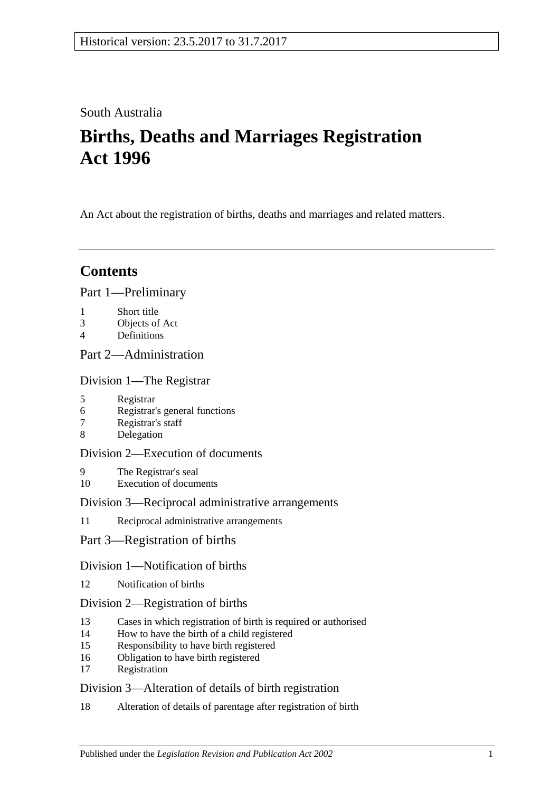# South Australia

# **Births, Deaths and Marriages Registration Act 1996**

An Act about the registration of births, deaths and marriages and related matters.

# **Contents**

## [Part 1—Preliminary](#page-3-0)

- 1 [Short title](#page-3-1)
- 3 [Objects of Act](#page-3-2)
- 4 [Definitions](#page-3-3)

# [Part 2—Administration](#page-5-0)

[Division 1—The Registrar](#page-5-1)

- 5 [Registrar](#page-5-2)
- 6 [Registrar's general functions](#page-5-3)
- 7 [Registrar's staff](#page-5-4)
- 8 [Delegation](#page-5-5)

## [Division 2—Execution of documents](#page-6-0)

- 9 [The Registrar's seal](#page-6-1)
- 10 [Execution of documents](#page-6-2)

## [Division 3—Reciprocal administrative arrangements](#page-6-3)

- 11 [Reciprocal administrative arrangements](#page-6-4)
- [Part 3—Registration of births](#page-7-0)

# [Division 1—Notification of births](#page-7-1)

12 [Notification of births](#page-7-2)

# [Division 2—Registration of births](#page-7-3)

- 13 [Cases in which registration of birth is required or authorised](#page-7-4)
- 14 [How to have the birth of a child registered](#page-8-0)
- 15 [Responsibility to have birth registered](#page-8-1)
- 16 [Obligation to have birth registered](#page-9-0)
- 17 [Registration](#page-9-1)

# [Division 3—Alteration of details of birth registration](#page-9-2)

18 [Alteration of details of parentage after registration of birth](#page-9-3)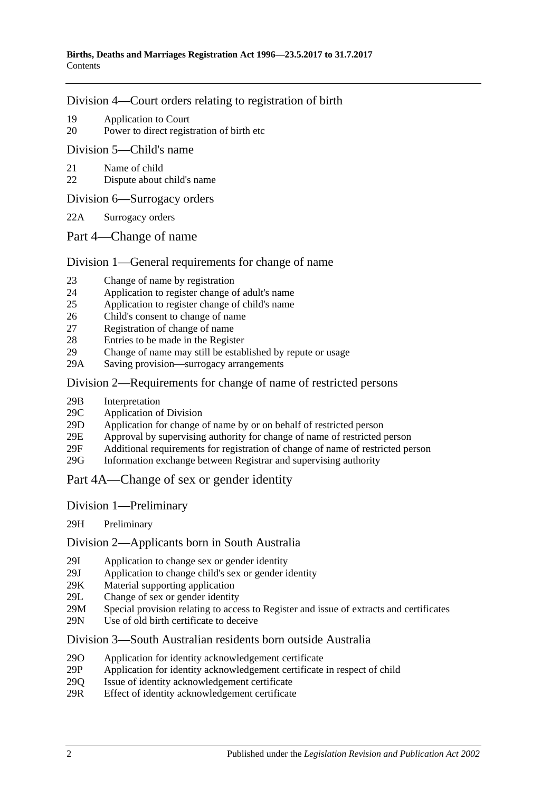### [Division 4—Court orders relating to registration of birth](#page-9-4)

- 19 [Application to Court](#page-9-5)
- 20 [Power to direct registration of birth etc](#page-10-0)

### [Division 5—Child's name](#page-10-1)

- 21 [Name of child](#page-10-2)
- 22 [Dispute about child's name](#page-10-3)
- [Division 6—Surrogacy orders](#page-11-0)
- 22A [Surrogacy orders](#page-11-1)
- [Part 4—Change of name](#page-11-2)

## [Division 1—General requirements for change of name](#page-11-3)

- 23 [Change of name by registration](#page-11-4)
- 24 [Application to register change of adult's name](#page-11-5)
- 25 [Application to register change of child's name](#page-12-0)
- 26 [Child's consent to change of name](#page-13-0)
- 27 [Registration of change of name](#page-13-1)
- 28 [Entries to be made in the Register](#page-13-2)
- 29 [Change of name may still be established by repute or usage](#page-13-3)
- 29A Saving [provision—surrogacy arrangements](#page-13-4)

## [Division 2—Requirements for change of name of restricted persons](#page-14-0)

- 29B [Interpretation](#page-14-1)
- 29C [Application of Division](#page-14-2)
- 29D [Application for change of name by or on behalf of restricted person](#page-15-0)
- 29E [Approval by supervising authority for change of name of restricted person](#page-15-1)
- 29F [Additional requirements for registration of change of name of restricted](#page-16-0) person
- 29G [Information exchange between Registrar and supervising authority](#page-16-1)
- [Part 4A—Change of sex or gender identity](#page-17-0)
- Division [1—Preliminary](#page-17-1)
- 29H [Preliminary](#page-17-2)

## Division [2—Applicants born in South Australia](#page-17-3)

- 29I [Application to change sex or gender identity](#page-17-4)
- 29J [Application to change child's sex or gender identity](#page-17-5)
- 29K [Material supporting application](#page-18-0)
- 29L [Change of sex or gender identity](#page-19-0)
- 29M [Special provision relating to access to Register and issue of extracts and certificates](#page-19-1)
- 29N [Use of old birth certificate to deceive](#page-19-2)

## Division [3—South Australian residents born outside Australia](#page-20-0)

- 29O [Application for identity acknowledgement certificate](#page-20-1)
- 29P [Application for identity acknowledgement certificate in respect of child](#page-20-2)
- 29Q [Issue of identity acknowledgement certificate](#page-21-0)
- 29R [Effect of identity acknowledgement certificate](#page-21-1)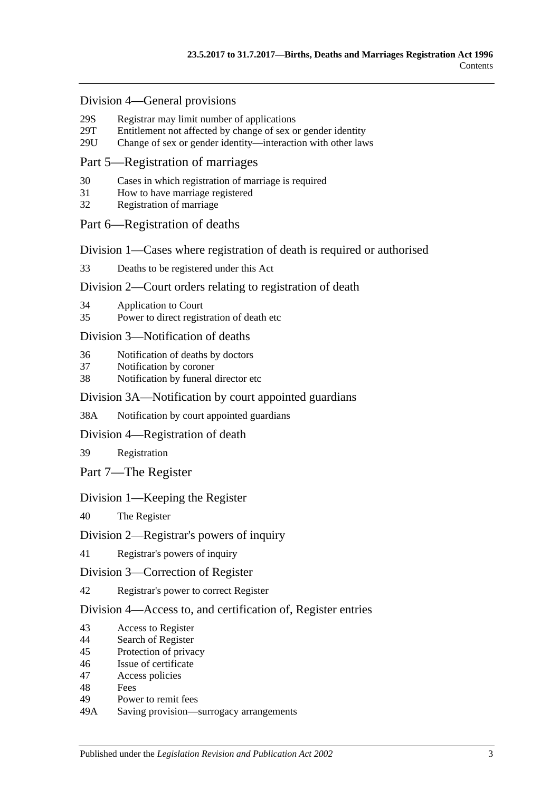#### Division [4—General provisions](#page-21-2)

- 29S [Registrar may limit number of applications](#page-21-3)<br>29T Entitlement not affected by change of sex of
- [Entitlement not affected by change of sex or gender identity](#page-22-0)
- 29U [Change of sex or gender identity—interaction with other laws](#page-22-1)

### [Part 5—Registration of marriages](#page-22-2)

- 30 [Cases in which registration of marriage is required](#page-22-3)
- 31 [How to have marriage registered](#page-22-4)
- 32 [Registration of marriage](#page-22-5)

### [Part 6—Registration of deaths](#page-22-6)

[Division 1—Cases where registration of death is required or authorised](#page-22-7)

33 [Deaths to be registered under this Act](#page-22-8)

#### [Division 2—Court orders relating to registration of death](#page-23-0)

- 34 [Application to Court](#page-23-1)
- 35 [Power to direct registration of death etc](#page-23-2)

#### [Division 3—Notification of deaths](#page-23-3)

- 36 [Notification of deaths by doctors](#page-23-4)
- 37 [Notification by coroner](#page-24-0)
- 38 [Notification by funeral director etc](#page-24-1)

#### [Division 3A—Notification by court appointed guardians](#page-25-0)

38A [Notification by court appointed guardians](#page-25-1)

#### [Division 4—Registration of death](#page-25-2)

39 [Registration](#page-25-3)

[Part 7—The Register](#page-26-0)

### [Division 1—Keeping the Register](#page-26-1)

40 [The Register](#page-26-2)

#### [Division 2—Registrar's powers of inquiry](#page-26-3)

41 [Registrar's powers of inquiry](#page-26-4)

#### [Division 3—Correction of Register](#page-26-5)

42 [Registrar's power to correct Register](#page-26-6)

#### [Division 4—Access to, and certification of, Register entries](#page-27-0)

- 43 [Access to Register](#page-27-1)
- 44 [Search of Register](#page-27-2)
- 45 [Protection of privacy](#page-28-0)
- 46 [Issue of certificate](#page-28-1)
- 47 [Access policies](#page-28-2)
- 48 [Fees](#page-28-3)
- 49 [Power to remit fees](#page-28-4)
- 49A [Saving provision—surrogacy arrangements](#page-29-0)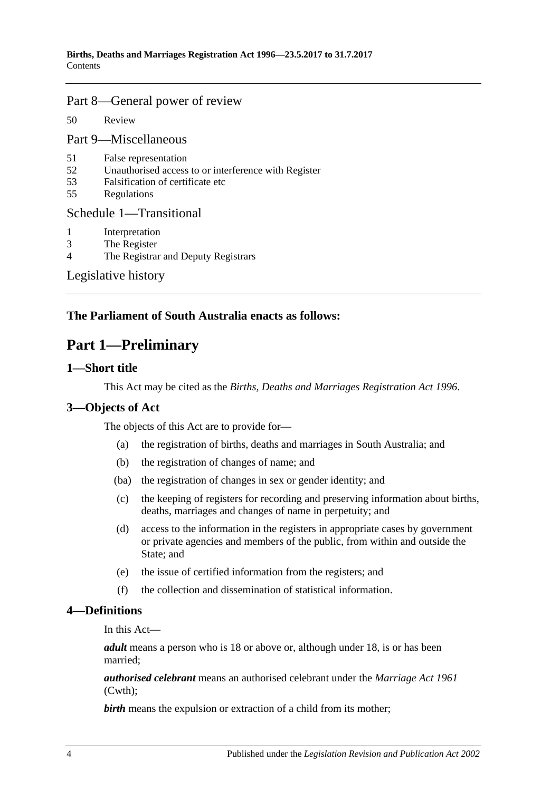### [Part 8—General power of review](#page-29-1)

50 [Review](#page-29-2)

[Part 9—Miscellaneous](#page-29-3)

- 51 [False representation](#page-29-4)
- 52 [Unauthorised access to or interference with Register](#page-29-5)
- 53 [Falsification of certificate etc](#page-29-6)
- 55 [Regulations](#page-30-0)

#### [Schedule 1—Transitional](#page-30-1)

- 1 [Interpretation](#page-30-2)<br>3 The Register
- [The Register](#page-30-3)
- 4 [The Registrar and Deputy Registrars](#page-30-4)

[Legislative history](#page-31-0)

## <span id="page-3-0"></span>**The Parliament of South Australia enacts as follows:**

# **Part 1—Preliminary**

### <span id="page-3-1"></span>**1—Short title**

This Act may be cited as the *Births, Deaths and Marriages Registration Act 1996*.

## <span id="page-3-2"></span>**3—Objects of Act**

The objects of this Act are to provide for—

- (a) the registration of births, deaths and marriages in South Australia; and
- (b) the registration of changes of name; and
- (ba) the registration of changes in sex or gender identity; and
- (c) the keeping of registers for recording and preserving information about births, deaths, marriages and changes of name in perpetuity; and
- (d) access to the information in the registers in appropriate cases by government or private agencies and members of the public, from within and outside the State; and
- (e) the issue of certified information from the registers; and
- (f) the collection and dissemination of statistical information.

#### <span id="page-3-3"></span>**4—Definitions**

In this Act—

*adult* means a person who is 18 or above or, although under 18, is or has been married;

*authorised celebrant* means an authorised celebrant under the *Marriage Act 1961* (Cwth);

**birth** means the expulsion or extraction of a child from its mother;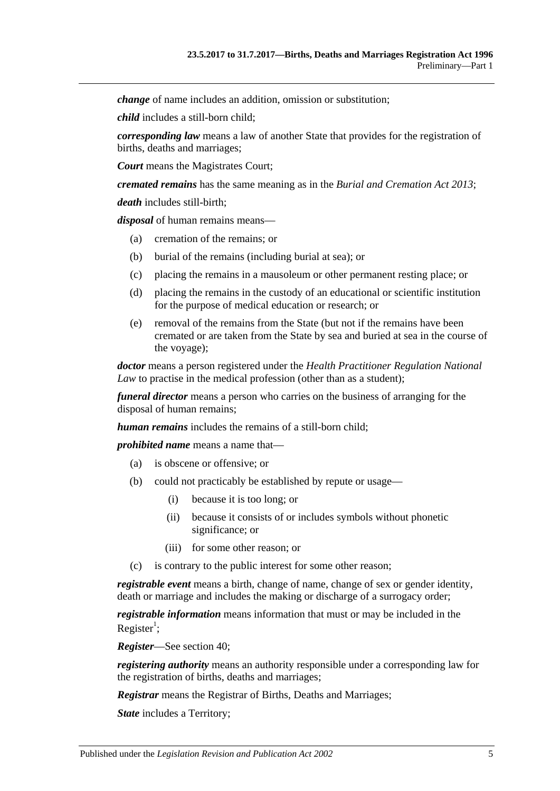*change* of name includes an addition, omission or substitution;

*child* includes a still-born child;

*corresponding law* means a law of another State that provides for the registration of births, deaths and marriages;

*Court* means the Magistrates Court;

*cremated remains* has the same meaning as in the *[Burial and Cremation Act](http://www.legislation.sa.gov.au/index.aspx?action=legref&type=act&legtitle=Burial%20and%20Cremation%20Act%202013) 2013*;

*death* includes still-birth;

*disposal* of human remains means—

- (a) cremation of the remains; or
- (b) burial of the remains (including burial at sea); or
- (c) placing the remains in a mausoleum or other permanent resting place; or
- (d) placing the remains in the custody of an educational or scientific institution for the purpose of medical education or research; or
- (e) removal of the remains from the State (but not if the remains have been cremated or are taken from the State by sea and buried at sea in the course of the voyage);

*doctor* means a person registered under the *Health Practitioner Regulation National Law* to practise in the medical profession (other than as a student);

*funeral director* means a person who carries on the business of arranging for the disposal of human remains;

*human remains* includes the remains of a still-born child;

*prohibited name* means a name that—

- (a) is obscene or offensive; or
- (b) could not practicably be established by repute or usage—
	- (i) because it is too long; or
	- (ii) because it consists of or includes symbols without phonetic significance; or
	- (iii) for some other reason; or
- (c) is contrary to the public interest for some other reason;

*registrable event* means a birth, change of name, change of sex or gender identity, death or marriage and includes the making or discharge of a surrogacy order;

*registrable information* means information that must or may be included in the Register<sup>1</sup>;

*Register*—See [section](#page-26-2) 40;

*registering authority* means an authority responsible under a corresponding law for the registration of births, deaths and marriages;

*Registrar* means the Registrar of Births, Deaths and Marriages;

*State* includes a Territory;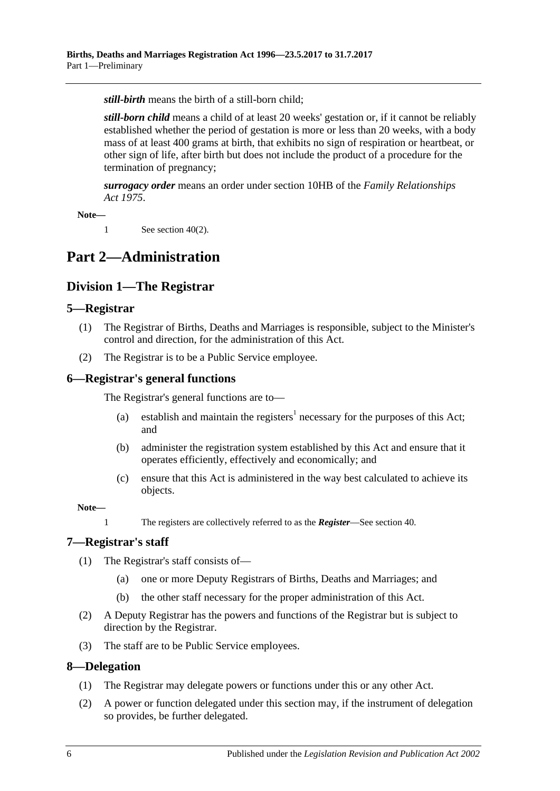*still-birth* means the birth of a still-born child;

*still-born child* means a child of at least 20 weeks' gestation or, if it cannot be reliably established whether the period of gestation is more or less than 20 weeks, with a body mass of at least 400 grams at birth, that exhibits no sign of respiration or heartbeat, or other sign of life, after birth but does not include the product of a procedure for the termination of pregnancy;

*surrogacy order* means an order under section 10HB of the *[Family Relationships](http://www.legislation.sa.gov.au/index.aspx?action=legref&type=act&legtitle=Family%20Relationships%20Act%201975)  Act [1975](http://www.legislation.sa.gov.au/index.aspx?action=legref&type=act&legtitle=Family%20Relationships%20Act%201975)*.

**Note—**

1 See [section](#page-26-7) 40(2).

# <span id="page-5-1"></span><span id="page-5-0"></span>**Part 2—Administration**

# **Division 1—The Registrar**

## <span id="page-5-2"></span>**5—Registrar**

- (1) The Registrar of Births, Deaths and Marriages is responsible, subject to the Minister's control and direction, for the administration of this Act.
- (2) The Registrar is to be a Public Service employee.

### <span id="page-5-3"></span>**6—Registrar's general functions**

The Registrar's general functions are to—

- (a) establish and maintain the registers<sup>1</sup> necessary for the purposes of this Act; and
- (b) administer the registration system established by this Act and ensure that it operates efficiently, effectively and economically; and
- (c) ensure that this Act is administered in the way best calculated to achieve its objects.

**Note—**

1 The registers are collectively referred to as the *Register*—See [section](#page-26-2) 40.

# <span id="page-5-4"></span>**7—Registrar's staff**

- (1) The Registrar's staff consists of—
	- (a) one or more Deputy Registrars of Births, Deaths and Marriages; and
	- (b) the other staff necessary for the proper administration of this Act.
- (2) A Deputy Registrar has the powers and functions of the Registrar but is subject to direction by the Registrar.
- (3) The staff are to be Public Service employees.

#### <span id="page-5-5"></span>**8—Delegation**

- (1) The Registrar may delegate powers or functions under this or any other Act.
- (2) A power or function delegated under this section may, if the instrument of delegation so provides, be further delegated.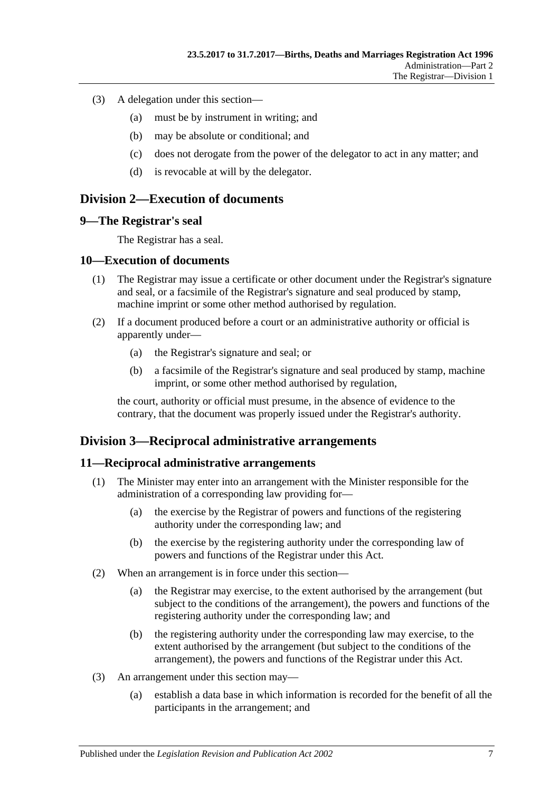- (3) A delegation under this section—
	- (a) must be by instrument in writing; and
	- (b) may be absolute or conditional; and
	- (c) does not derogate from the power of the delegator to act in any matter; and
	- (d) is revocable at will by the delegator.

## <span id="page-6-0"></span>**Division 2—Execution of documents**

#### <span id="page-6-1"></span>**9—The Registrar's seal**

The Registrar has a seal.

#### <span id="page-6-2"></span>**10—Execution of documents**

- (1) The Registrar may issue a certificate or other document under the Registrar's signature and seal, or a facsimile of the Registrar's signature and seal produced by stamp, machine imprint or some other method authorised by regulation.
- (2) If a document produced before a court or an administrative authority or official is apparently under—
	- (a) the Registrar's signature and seal; or
	- (b) a facsimile of the Registrar's signature and seal produced by stamp, machine imprint, or some other method authorised by regulation,

the court, authority or official must presume, in the absence of evidence to the contrary, that the document was properly issued under the Registrar's authority.

## <span id="page-6-3"></span>**Division 3—Reciprocal administrative arrangements**

#### <span id="page-6-4"></span>**11—Reciprocal administrative arrangements**

- (1) The Minister may enter into an arrangement with the Minister responsible for the administration of a corresponding law providing for—
	- (a) the exercise by the Registrar of powers and functions of the registering authority under the corresponding law; and
	- (b) the exercise by the registering authority under the corresponding law of powers and functions of the Registrar under this Act.
- (2) When an arrangement is in force under this section—
	- (a) the Registrar may exercise, to the extent authorised by the arrangement (but subject to the conditions of the arrangement), the powers and functions of the registering authority under the corresponding law; and
	- (b) the registering authority under the corresponding law may exercise, to the extent authorised by the arrangement (but subject to the conditions of the arrangement), the powers and functions of the Registrar under this Act.
- (3) An arrangement under this section may—
	- (a) establish a data base in which information is recorded for the benefit of all the participants in the arrangement; and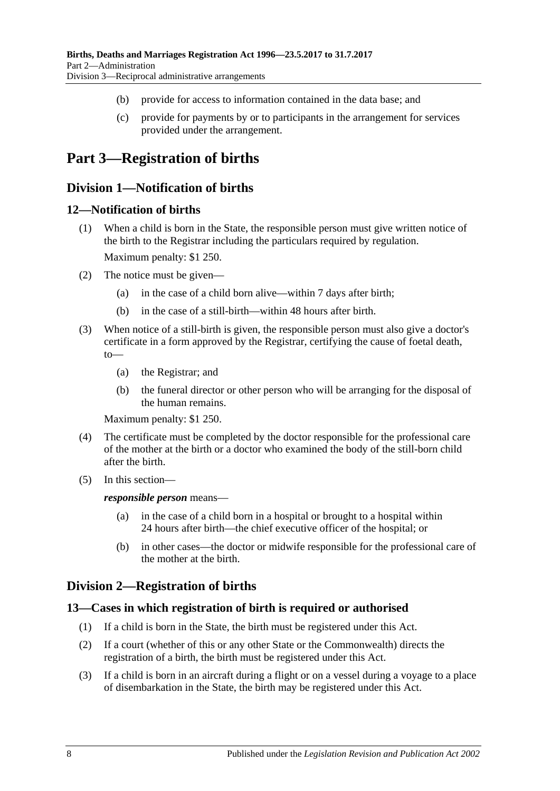- (b) provide for access to information contained in the data base; and
- (c) provide for payments by or to participants in the arrangement for services provided under the arrangement.

# <span id="page-7-1"></span><span id="page-7-0"></span>**Part 3—Registration of births**

# **Division 1—Notification of births**

### <span id="page-7-2"></span>**12—Notification of births**

- (1) When a child is born in the State, the responsible person must give written notice of the birth to the Registrar including the particulars required by regulation. Maximum penalty: \$1 250.
- (2) The notice must be given—
	- (a) in the case of a child born alive—within 7 days after birth;
	- (b) in the case of a still-birth—within 48 hours after birth.
- (3) When notice of a still-birth is given, the responsible person must also give a doctor's certificate in a form approved by the Registrar, certifying the cause of foetal death,  $to$ 
	- (a) the Registrar; and
	- (b) the funeral director or other person who will be arranging for the disposal of the human remains.

Maximum penalty: \$1 250.

- (4) The certificate must be completed by the doctor responsible for the professional care of the mother at the birth or a doctor who examined the body of the still-born child after the birth.
- (5) In this section—

*responsible person* means—

- (a) in the case of a child born in a hospital or brought to a hospital within 24 hours after birth—the chief executive officer of the hospital; or
- (b) in other cases—the doctor or midwife responsible for the professional care of the mother at the birth.

# <span id="page-7-3"></span>**Division 2—Registration of births**

### <span id="page-7-4"></span>**13—Cases in which registration of birth is required or authorised**

- (1) If a child is born in the State, the birth must be registered under this Act.
- (2) If a court (whether of this or any other State or the Commonwealth) directs the registration of a birth, the birth must be registered under this Act.
- <span id="page-7-5"></span>(3) If a child is born in an aircraft during a flight or on a vessel during a voyage to a place of disembarkation in the State, the birth may be registered under this Act.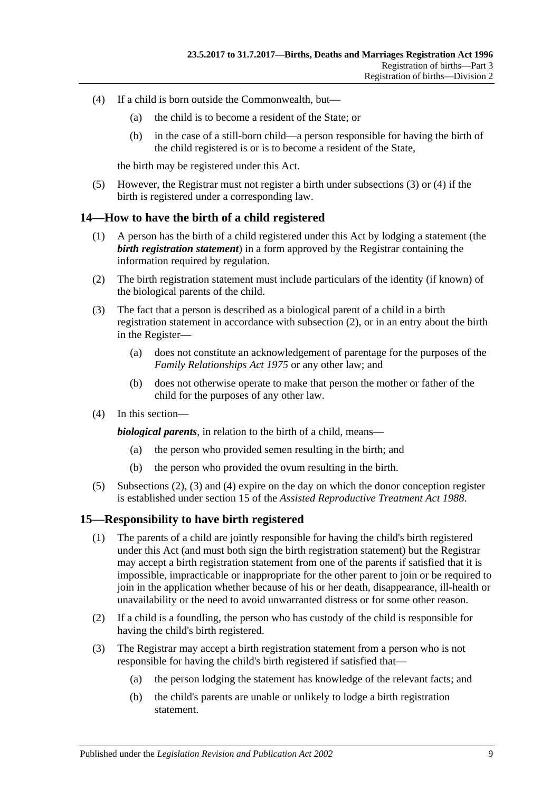- <span id="page-8-2"></span>(4) If a child is born outside the Commonwealth, but—
	- (a) the child is to become a resident of the State; or
	- (b) in the case of a still-born child—a person responsible for having the birth of the child registered is or is to become a resident of the State,

the birth may be registered under this Act.

(5) However, the Registrar must not register a birth under [subsections](#page-7-5) (3) or [\(4\)](#page-8-2) if the birth is registered under a corresponding law.

### <span id="page-8-0"></span>**14—How to have the birth of a child registered**

- (1) A person has the birth of a child registered under this Act by lodging a statement (the *birth registration statement*) in a form approved by the Registrar containing the information required by regulation.
- <span id="page-8-3"></span>(2) The birth registration statement must include particulars of the identity (if known) of the biological parents of the child.
- <span id="page-8-4"></span>(3) The fact that a person is described as a biological parent of a child in a birth registration statement in accordance with [subsection](#page-8-3) (2), or in an entry about the birth in the Register—
	- (a) does not constitute an acknowledgement of parentage for the purposes of the *[Family Relationships Act](http://www.legislation.sa.gov.au/index.aspx?action=legref&type=act&legtitle=Family%20Relationships%20Act%201975) 1975* or any other law; and
	- (b) does not otherwise operate to make that person the mother or father of the child for the purposes of any other law.
- <span id="page-8-5"></span>(4) In this section—

*biological parents*, in relation to the birth of a child, means—

- (a) the person who provided semen resulting in the birth; and
- (b) the person who provided the ovum resulting in the birth.
- (5) [Subsections](#page-8-3) (2), [\(3\)](#page-8-4) and [\(4\)](#page-8-5) expire on the day on which the donor conception register is established under section 15 of the *[Assisted Reproductive Treatment Act](http://www.legislation.sa.gov.au/index.aspx?action=legref&type=act&legtitle=Assisted%20Reproductive%20Treatment%20Act%201988) 1988*.

#### <span id="page-8-1"></span>**15—Responsibility to have birth registered**

- (1) The parents of a child are jointly responsible for having the child's birth registered under this Act (and must both sign the birth registration statement) but the Registrar may accept a birth registration statement from one of the parents if satisfied that it is impossible, impracticable or inappropriate for the other parent to join or be required to join in the application whether because of his or her death, disappearance, ill-health or unavailability or the need to avoid unwarranted distress or for some other reason.
- (2) If a child is a foundling, the person who has custody of the child is responsible for having the child's birth registered.
- (3) The Registrar may accept a birth registration statement from a person who is not responsible for having the child's birth registered if satisfied that—
	- (a) the person lodging the statement has knowledge of the relevant facts; and
	- (b) the child's parents are unable or unlikely to lodge a birth registration statement.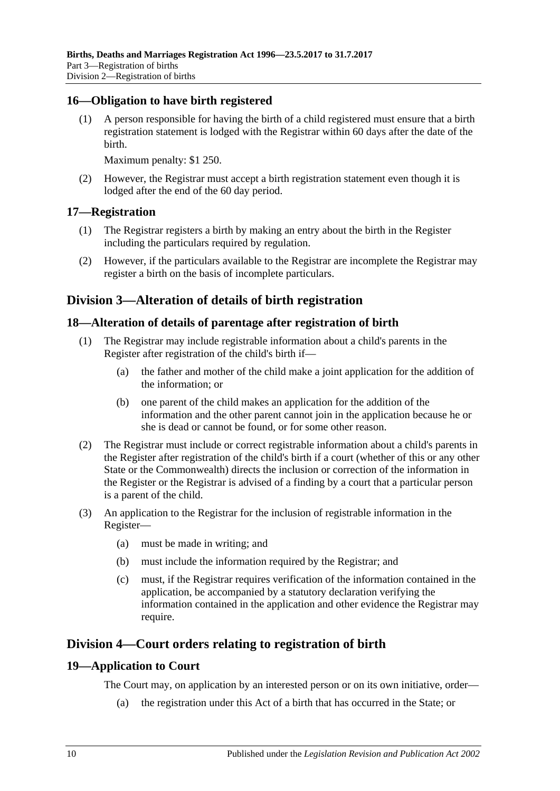## <span id="page-9-0"></span>**16—Obligation to have birth registered**

(1) A person responsible for having the birth of a child registered must ensure that a birth registration statement is lodged with the Registrar within 60 days after the date of the birth.

Maximum penalty: \$1 250.

(2) However, the Registrar must accept a birth registration statement even though it is lodged after the end of the 60 day period.

### <span id="page-9-1"></span>**17—Registration**

- (1) The Registrar registers a birth by making an entry about the birth in the Register including the particulars required by regulation.
- (2) However, if the particulars available to the Registrar are incomplete the Registrar may register a birth on the basis of incomplete particulars.

## <span id="page-9-2"></span>**Division 3—Alteration of details of birth registration**

### <span id="page-9-3"></span>**18—Alteration of details of parentage after registration of birth**

- (1) The Registrar may include registrable information about a child's parents in the Register after registration of the child's birth if—
	- (a) the father and mother of the child make a joint application for the addition of the information; or
	- (b) one parent of the child makes an application for the addition of the information and the other parent cannot join in the application because he or she is dead or cannot be found, or for some other reason.
- (2) The Registrar must include or correct registrable information about a child's parents in the Register after registration of the child's birth if a court (whether of this or any other State or the Commonwealth) directs the inclusion or correction of the information in the Register or the Registrar is advised of a finding by a court that a particular person is a parent of the child.
- (3) An application to the Registrar for the inclusion of registrable information in the Register—
	- (a) must be made in writing; and
	- (b) must include the information required by the Registrar; and
	- (c) must, if the Registrar requires verification of the information contained in the application, be accompanied by a statutory declaration verifying the information contained in the application and other evidence the Registrar may require.

# <span id="page-9-4"></span>**Division 4—Court orders relating to registration of birth**

#### <span id="page-9-5"></span>**19—Application to Court**

The Court may, on application by an interested person or on its own initiative, order—

(a) the registration under this Act of a birth that has occurred in the State; or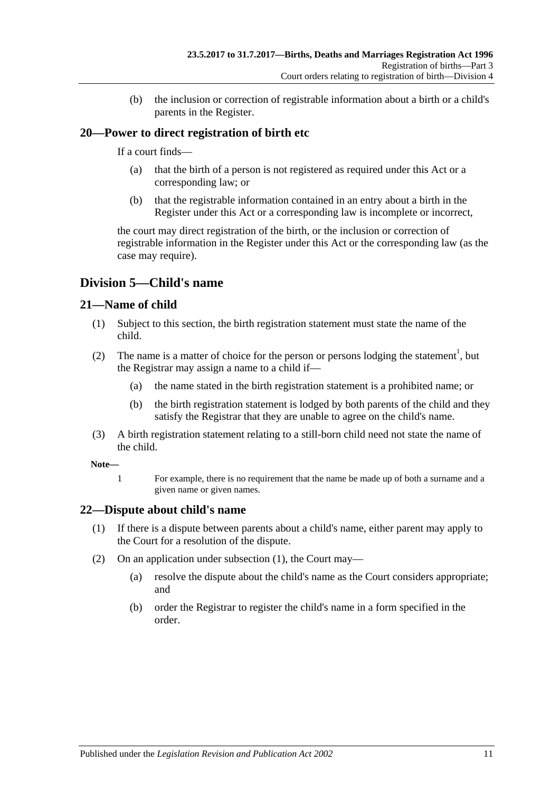(b) the inclusion or correction of registrable information about a birth or a child's parents in the Register.

# <span id="page-10-0"></span>**20—Power to direct registration of birth etc**

If a court finds—

- (a) that the birth of a person is not registered as required under this Act or a corresponding law; or
- (b) that the registrable information contained in an entry about a birth in the Register under this Act or a corresponding law is incomplete or incorrect,

the court may direct registration of the birth, or the inclusion or correction of registrable information in the Register under this Act or the corresponding law (as the case may require).

# <span id="page-10-1"></span>**Division 5—Child's name**

## <span id="page-10-2"></span>**21—Name of child**

- (1) Subject to this section, the birth registration statement must state the name of the child.
- (2) The name is a matter of choice for the person or persons lodging the statement<sup>1</sup>, but the Registrar may assign a name to a child if—
	- (a) the name stated in the birth registration statement is a prohibited name; or
	- (b) the birth registration statement is lodged by both parents of the child and they satisfy the Registrar that they are unable to agree on the child's name.
- (3) A birth registration statement relating to a still-born child need not state the name of the child.

#### **Note—**

1 For example, there is no requirement that the name be made up of both a surname and a given name or given names.

## <span id="page-10-4"></span><span id="page-10-3"></span>**22—Dispute about child's name**

- (1) If there is a dispute between parents about a child's name, either parent may apply to the Court for a resolution of the dispute.
- (2) On an application under [subsection](#page-10-4) (1), the Court may—
	- (a) resolve the dispute about the child's name as the Court considers appropriate; and
	- (b) order the Registrar to register the child's name in a form specified in the order.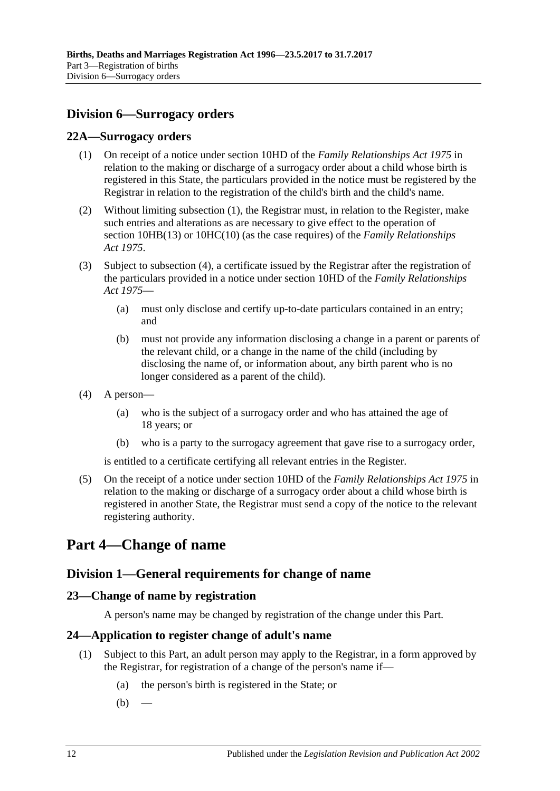# <span id="page-11-0"></span>**Division 6—Surrogacy orders**

### <span id="page-11-6"></span><span id="page-11-1"></span>**22A—Surrogacy orders**

- (1) On receipt of a notice under section 10HD of the *[Family Relationships Act](http://www.legislation.sa.gov.au/index.aspx?action=legref&type=act&legtitle=Family%20Relationships%20Act%201975) 1975* in relation to the making or discharge of a surrogacy order about a child whose birth is registered in this State, the particulars provided in the notice must be registered by the Registrar in relation to the registration of the child's birth and the child's name.
- (2) Without limiting [subsection](#page-11-6) (1), the Registrar must, in relation to the Register, make such entries and alterations as are necessary to give effect to the operation of section 10HB(13) or 10HC(10) (as the case requires) of the *[Family Relationships](http://www.legislation.sa.gov.au/index.aspx?action=legref&type=act&legtitle=Family%20Relationships%20Act%201975)  Act [1975](http://www.legislation.sa.gov.au/index.aspx?action=legref&type=act&legtitle=Family%20Relationships%20Act%201975)*.
- (3) Subject to [subsection](#page-11-7) (4), a certificate issued by the Registrar after the registration of the particulars provided in a notice under section 10HD of the *[Family Relationships](http://www.legislation.sa.gov.au/index.aspx?action=legref&type=act&legtitle=Family%20Relationships%20Act%201975)  Act [1975](http://www.legislation.sa.gov.au/index.aspx?action=legref&type=act&legtitle=Family%20Relationships%20Act%201975)*—
	- (a) must only disclose and certify up-to-date particulars contained in an entry; and
	- (b) must not provide any information disclosing a change in a parent or parents of the relevant child, or a change in the name of the child (including by disclosing the name of, or information about, any birth parent who is no longer considered as a parent of the child).
- <span id="page-11-7"></span>(4) A person—
	- (a) who is the subject of a surrogacy order and who has attained the age of 18 years; or
	- (b) who is a party to the surrogacy agreement that gave rise to a surrogacy order,

is entitled to a certificate certifying all relevant entries in the Register.

(5) On the receipt of a notice under section 10HD of the *[Family Relationships Act](http://www.legislation.sa.gov.au/index.aspx?action=legref&type=act&legtitle=Family%20Relationships%20Act%201975) 1975* in relation to the making or discharge of a surrogacy order about a child whose birth is registered in another State, the Registrar must send a copy of the notice to the relevant registering authority.

# <span id="page-11-3"></span><span id="page-11-2"></span>**Part 4—Change of name**

# **Division 1—General requirements for change of name**

## <span id="page-11-4"></span>**23—Change of name by registration**

A person's name may be changed by registration of the change under this Part.

## <span id="page-11-8"></span><span id="page-11-5"></span>**24—Application to register change of adult's name**

- (1) Subject to this Part, an adult person may apply to the Registrar, in a form approved by the Registrar, for registration of a change of the person's name if—
	- (a) the person's birth is registered in the State; or
	- $(b)$  —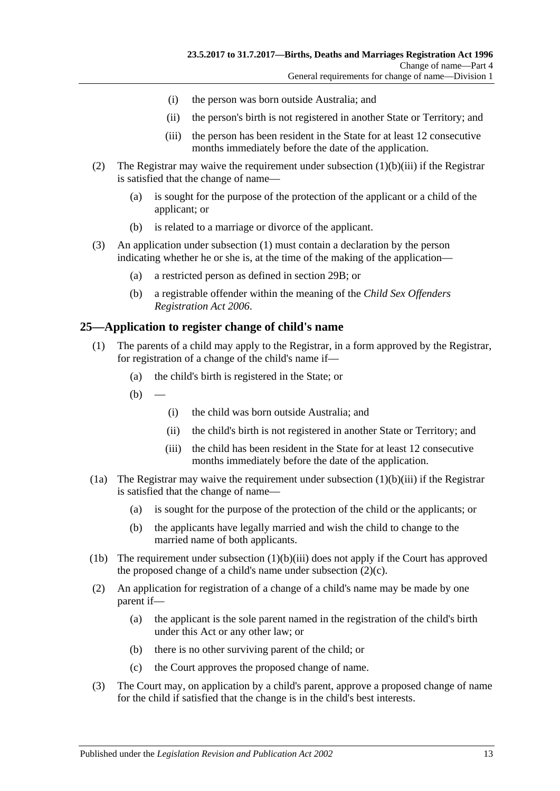- (i) the person was born outside Australia; and
- (ii) the person's birth is not registered in another State or Territory; and
- (iii) the person has been resident in the State for at least 12 consecutive months immediately before the date of the application.
- <span id="page-12-1"></span>(2) The Registrar may waive the requirement under [subsection](#page-12-1) (1)(b)(iii) if the Registrar is satisfied that the change of name—
	- (a) is sought for the purpose of the protection of the applicant or a child of the applicant; or
	- (b) is related to a marriage or divorce of the applicant.
- (3) An application under [subsection](#page-11-8) (1) must contain a declaration by the person indicating whether he or she is, at the time of the making of the application—
	- (a) a restricted person as defined in [section](#page-14-1) 29B; or
	- (b) a registrable offender within the meaning of the *[Child Sex Offenders](http://www.legislation.sa.gov.au/index.aspx?action=legref&type=act&legtitle=Child%20Sex%20Offenders%20Registration%20Act%202006)  [Registration Act](http://www.legislation.sa.gov.au/index.aspx?action=legref&type=act&legtitle=Child%20Sex%20Offenders%20Registration%20Act%202006) 2006*.

#### <span id="page-12-0"></span>**25—Application to register change of child's name**

- (1) The parents of a child may apply to the Registrar, in a form approved by the Registrar, for registration of a change of the child's name if—
	- (a) the child's birth is registered in the State; or
	- $(b)$ 
		- (i) the child was born outside Australia; and
		- (ii) the child's birth is not registered in another State or Territory; and
		- (iii) the child has been resident in the State for at least 12 consecutive months immediately before the date of the application.
- <span id="page-12-2"></span>(1a) The Registrar may waive the requirement under [subsection](#page-12-2)  $(1)(b)(iii)$  if the Registrar is satisfied that the change of name—
	- (a) is sought for the purpose of the protection of the child or the applicants; or
	- (b) the applicants have legally married and wish the child to change to the married name of both applicants.
- (1b) The requirement under [subsection](#page-12-2)  $(1)(b)(iii)$  does not apply if the Court has approved the proposed change of a child's name under [subsection](#page-12-3)  $(2)(c)$ .
- (2) An application for registration of a change of a child's name may be made by one parent if—
	- (a) the applicant is the sole parent named in the registration of the child's birth under this Act or any other law; or
	- (b) there is no other surviving parent of the child; or
	- (c) the Court approves the proposed change of name.
- <span id="page-12-3"></span>(3) The Court may, on application by a child's parent, approve a proposed change of name for the child if satisfied that the change is in the child's best interests.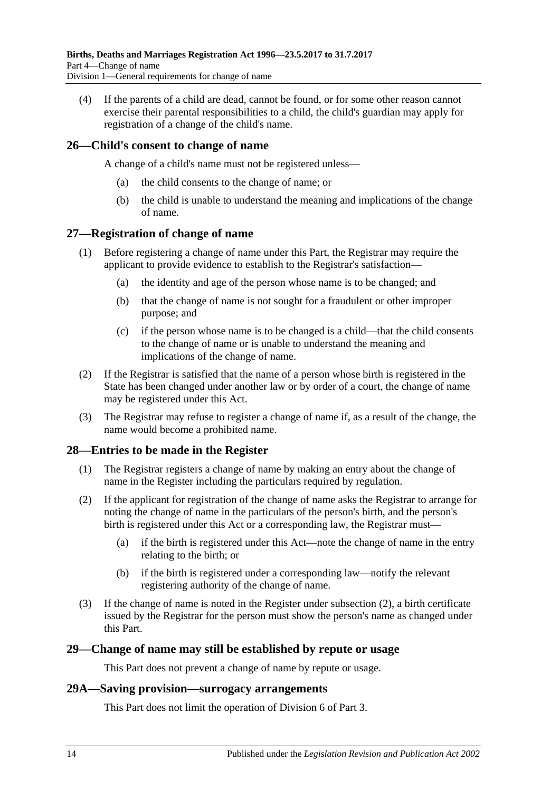(4) If the parents of a child are dead, cannot be found, or for some other reason cannot exercise their parental responsibilities to a child, the child's guardian may apply for registration of a change of the child's name.

## <span id="page-13-0"></span>**26—Child's consent to change of name**

A change of a child's name must not be registered unless—

- (a) the child consents to the change of name; or
- (b) the child is unable to understand the meaning and implications of the change of name.

## <span id="page-13-1"></span>**27—Registration of change of name**

- (1) Before registering a change of name under this Part, the Registrar may require the applicant to provide evidence to establish to the Registrar's satisfaction—
	- (a) the identity and age of the person whose name is to be changed; and
	- (b) that the change of name is not sought for a fraudulent or other improper purpose; and
	- (c) if the person whose name is to be changed is a child—that the child consents to the change of name or is unable to understand the meaning and implications of the change of name.
- (2) If the Registrar is satisfied that the name of a person whose birth is registered in the State has been changed under another law or by order of a court, the change of name may be registered under this Act.
- (3) The Registrar may refuse to register a change of name if, as a result of the change, the name would become a prohibited name.

## <span id="page-13-2"></span>**28—Entries to be made in the Register**

- (1) The Registrar registers a change of name by making an entry about the change of name in the Register including the particulars required by regulation.
- <span id="page-13-5"></span>(2) If the applicant for registration of the change of name asks the Registrar to arrange for noting the change of name in the particulars of the person's birth, and the person's birth is registered under this Act or a corresponding law, the Registrar must—
	- (a) if the birth is registered under this Act—note the change of name in the entry relating to the birth; or
	- (b) if the birth is registered under a corresponding law—notify the relevant registering authority of the change of name.
- (3) If the change of name is noted in the Register under [subsection](#page-13-5) (2), a birth certificate issued by the Registrar for the person must show the person's name as changed under this Part.

## <span id="page-13-3"></span>**29—Change of name may still be established by repute or usage**

This Part does not prevent a change of name by repute or usage.

#### <span id="page-13-4"></span>**29A—Saving provision—surrogacy arrangements**

This Part does not limit the operation of [Division 6](#page-11-0) of [Part 3.](#page-7-0)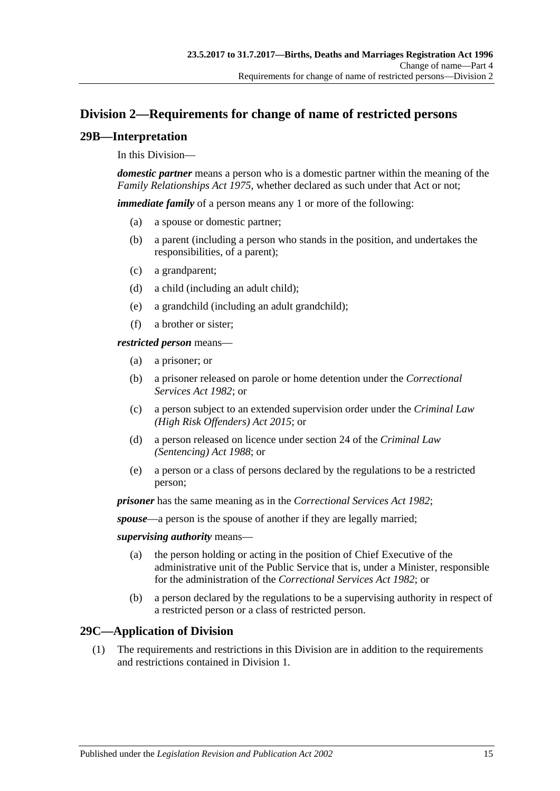# <span id="page-14-0"></span>**Division 2—Requirements for change of name of restricted persons**

## <span id="page-14-1"></span>**29B—Interpretation**

#### In this Division—

*domestic partner* means a person who is a domestic partner within the meaning of the *[Family Relationships Act](http://www.legislation.sa.gov.au/index.aspx?action=legref&type=act&legtitle=Family%20Relationships%20Act%201975) 1975*, whether declared as such under that Act or not;

*immediate family* of a person means any 1 or more of the following:

- (a) a spouse or domestic partner;
- (b) a parent (including a person who stands in the position, and undertakes the responsibilities, of a parent);
- (c) a grandparent;
- (d) a child (including an adult child);
- (e) a grandchild (including an adult grandchild);
- (f) a brother or sister;

#### *restricted person* means—

- (a) a prisoner; or
- (b) a prisoner released on parole or home detention under the *[Correctional](http://www.legislation.sa.gov.au/index.aspx?action=legref&type=act&legtitle=Correctional%20Services%20Act%201982)  [Services Act](http://www.legislation.sa.gov.au/index.aspx?action=legref&type=act&legtitle=Correctional%20Services%20Act%201982) 1982*; or
- (c) a person subject to an extended supervision order under the *[Criminal Law](http://www.legislation.sa.gov.au/index.aspx?action=legref&type=act&legtitle=Criminal%20Law%20(High%20Risk%20Offenders)%20Act%202015)  [\(High Risk Offenders\) Act](http://www.legislation.sa.gov.au/index.aspx?action=legref&type=act&legtitle=Criminal%20Law%20(High%20Risk%20Offenders)%20Act%202015) 2015*; or
- (d) a person released on licence under section 24 of the *[Criminal Law](http://www.legislation.sa.gov.au/index.aspx?action=legref&type=act&legtitle=Criminal%20Law%20(Sentencing)%20Act%201988)  [\(Sentencing\) Act](http://www.legislation.sa.gov.au/index.aspx?action=legref&type=act&legtitle=Criminal%20Law%20(Sentencing)%20Act%201988) 1988*; or
- (e) a person or a class of persons declared by the regulations to be a restricted person;

*prisoner* has the same meaning as in the *[Correctional Services Act](http://www.legislation.sa.gov.au/index.aspx?action=legref&type=act&legtitle=Correctional%20Services%20Act%201982) 1982*;

*spouse*—a person is the spouse of another if they are legally married;

#### *supervising authority* means—

- (a) the person holding or acting in the position of Chief Executive of the administrative unit of the Public Service that is, under a Minister, responsible for the administration of the *[Correctional Services Act](http://www.legislation.sa.gov.au/index.aspx?action=legref&type=act&legtitle=Correctional%20Services%20Act%201982) 1982*; or
- (b) a person declared by the regulations to be a supervising authority in respect of a restricted person or a class of restricted person.

## <span id="page-14-2"></span>**29C—Application of Division**

(1) The requirements and restrictions in this Division are in addition to the requirements and restrictions contained in [Division 1.](#page-11-3)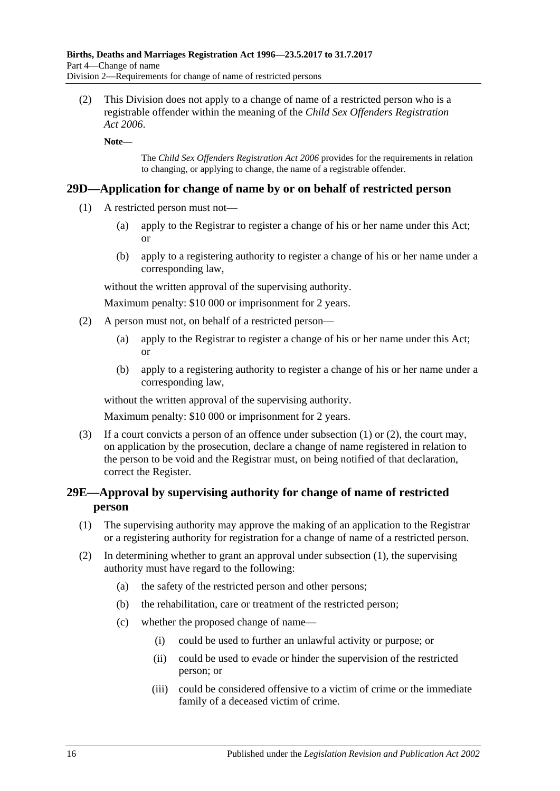(2) This Division does not apply to a change of name of a restricted person who is a registrable offender within the meaning of the *[Child Sex Offenders Registration](http://www.legislation.sa.gov.au/index.aspx?action=legref&type=act&legtitle=Child%20Sex%20Offenders%20Registration%20Act%202006)  Act [2006](http://www.legislation.sa.gov.au/index.aspx?action=legref&type=act&legtitle=Child%20Sex%20Offenders%20Registration%20Act%202006)*.

**Note—**

The *[Child Sex Offenders Registration Act](http://www.legislation.sa.gov.au/index.aspx?action=legref&type=act&legtitle=Child%20Sex%20Offenders%20Registration%20Act%202006) 2006* provides for the requirements in relation to changing, or applying to change, the name of a registrable offender.

### <span id="page-15-2"></span><span id="page-15-0"></span>**29D—Application for change of name by or on behalf of restricted person**

- (1) A restricted person must not—
	- (a) apply to the Registrar to register a change of his or her name under this Act; or
	- (b) apply to a registering authority to register a change of his or her name under a corresponding law,

without the written approval of the supervising authority.

Maximum penalty: \$10 000 or imprisonment for 2 years.

- <span id="page-15-3"></span>(2) A person must not, on behalf of a restricted person—
	- (a) apply to the Registrar to register a change of his or her name under this Act; or
	- (b) apply to a registering authority to register a change of his or her name under a corresponding law,

without the written approval of the supervising authority.

Maximum penalty: \$10 000 or imprisonment for 2 years.

(3) If a court convicts a person of an offence under [subsection \(1\)](#page-15-2) or [\(2\),](#page-15-3) the court may, on application by the prosecution, declare a change of name registered in relation to the person to be void and the Registrar must, on being notified of that declaration, correct the Register.

## <span id="page-15-1"></span>**29E—Approval by supervising authority for change of name of restricted person**

- <span id="page-15-4"></span>(1) The supervising authority may approve the making of an application to the Registrar or a registering authority for registration for a change of name of a restricted person.
- (2) In determining whether to grant an approval under [subsection](#page-15-4) (1), the supervising authority must have regard to the following:
	- (a) the safety of the restricted person and other persons;
	- (b) the rehabilitation, care or treatment of the restricted person;
	- (c) whether the proposed change of name—
		- (i) could be used to further an unlawful activity or purpose; or
		- (ii) could be used to evade or hinder the supervision of the restricted person; or
		- (iii) could be considered offensive to a victim of crime or the immediate family of a deceased victim of crime.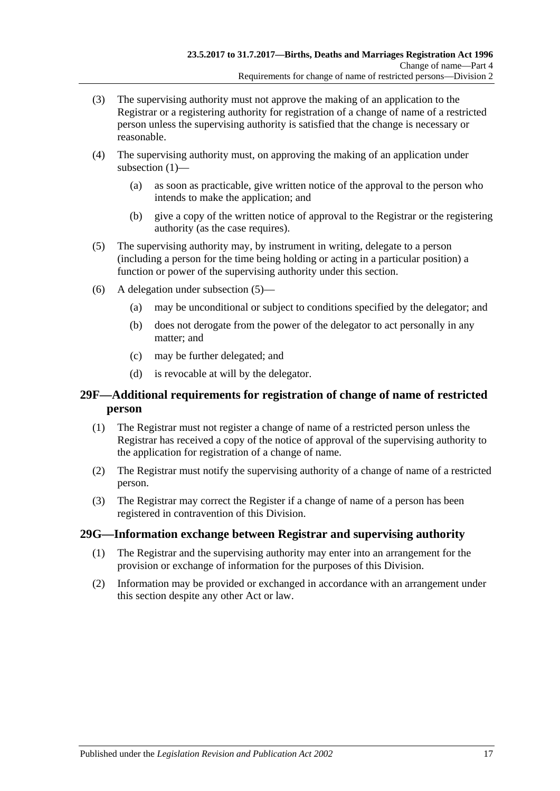- (3) The supervising authority must not approve the making of an application to the Registrar or a registering authority for registration of a change of name of a restricted person unless the supervising authority is satisfied that the change is necessary or reasonable.
- (4) The supervising authority must, on approving the making of an application under [subsection](#page-15-4) (1)—
	- (a) as soon as practicable, give written notice of the approval to the person who intends to make the application; and
	- (b) give a copy of the written notice of approval to the Registrar or the registering authority (as the case requires).
- <span id="page-16-2"></span>(5) The supervising authority may, by instrument in writing, delegate to a person (including a person for the time being holding or acting in a particular position) a function or power of the supervising authority under this section.
- (6) A delegation under [subsection](#page-16-2) (5)—
	- (a) may be unconditional or subject to conditions specified by the delegator; and
	- (b) does not derogate from the power of the delegator to act personally in any matter; and
	- (c) may be further delegated; and
	- (d) is revocable at will by the delegator.

## <span id="page-16-0"></span>**29F—Additional requirements for registration of change of name of restricted person**

- (1) The Registrar must not register a change of name of a restricted person unless the Registrar has received a copy of the notice of approval of the supervising authority to the application for registration of a change of name.
- (2) The Registrar must notify the supervising authority of a change of name of a restricted person.
- (3) The Registrar may correct the Register if a change of name of a person has been registered in contravention of this Division.

#### <span id="page-16-1"></span>**29G—Information exchange between Registrar and supervising authority**

- (1) The Registrar and the supervising authority may enter into an arrangement for the provision or exchange of information for the purposes of this Division.
- (2) Information may be provided or exchanged in accordance with an arrangement under this section despite any other Act or law.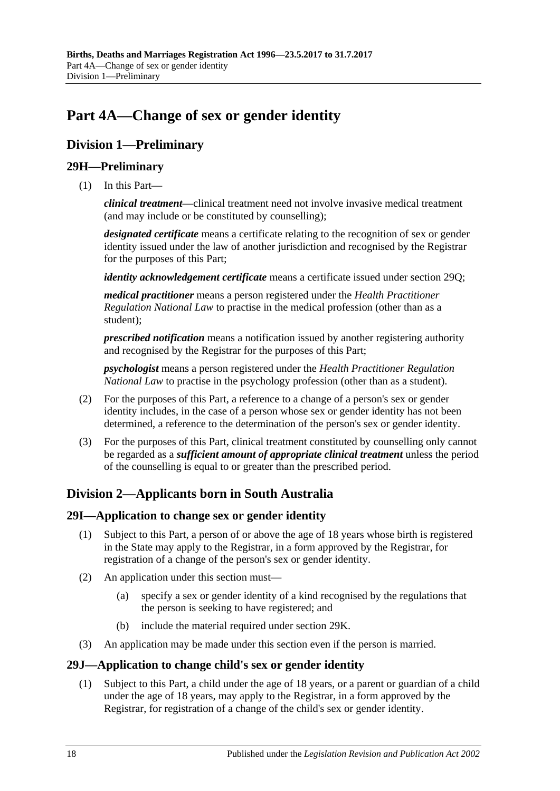# <span id="page-17-0"></span>**Part 4A—Change of sex or gender identity**

# <span id="page-17-1"></span>**Division 1—Preliminary**

# <span id="page-17-2"></span>**29H—Preliminary**

(1) In this Part—

*clinical treatment*—clinical treatment need not involve invasive medical treatment (and may include or be constituted by counselling);

*designated certificate* means a certificate relating to the recognition of sex or gender identity issued under the law of another jurisdiction and recognised by the Registrar for the purposes of this Part;

*identity acknowledgement certificate* means a certificate issued under [section](#page-21-0) 29Q;

*medical practitioner* means a person registered under the *Health Practitioner Regulation National Law* to practise in the medical profession (other than as a student);

*prescribed notification* means a notification issued by another registering authority and recognised by the Registrar for the purposes of this Part;

*psychologist* means a person registered under the *Health Practitioner Regulation National Law* to practise in the psychology profession (other than as a student).

- (2) For the purposes of this Part, a reference to a change of a person's sex or gender identity includes, in the case of a person whose sex or gender identity has not been determined, a reference to the determination of the person's sex or gender identity.
- (3) For the purposes of this Part, clinical treatment constituted by counselling only cannot be regarded as a *sufficient amount of appropriate clinical treatment* unless the period of the counselling is equal to or greater than the prescribed period.

# <span id="page-17-3"></span>**Division 2—Applicants born in South Australia**

## <span id="page-17-4"></span>**29I—Application to change sex or gender identity**

- (1) Subject to this Part, a person of or above the age of 18 years whose birth is registered in the State may apply to the Registrar, in a form approved by the Registrar, for registration of a change of the person's sex or gender identity.
- (2) An application under this section must—
	- (a) specify a sex or gender identity of a kind recognised by the regulations that the person is seeking to have registered; and
	- (b) include the material required under [section](#page-18-0) 29K.
- (3) An application may be made under this section even if the person is married.

# <span id="page-17-6"></span><span id="page-17-5"></span>**29J—Application to change child's sex or gender identity**

(1) Subject to this Part, a child under the age of 18 years, or a parent or guardian of a child under the age of 18 years, may apply to the Registrar, in a form approved by the Registrar, for registration of a change of the child's sex or gender identity.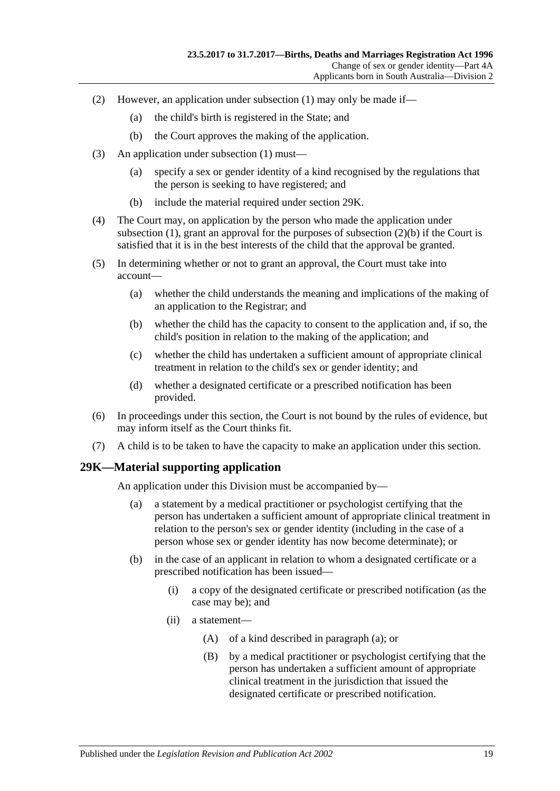- (2) However, an application under [subsection](#page-17-6) (1) may only be made if—
	- (a) the child's birth is registered in the State; and
	- (b) the Court approves the making of the application.
- <span id="page-18-1"></span>(3) An application under [subsection](#page-17-6) (1) must—
	- (a) specify a sex or gender identity of a kind recognised by the regulations that the person is seeking to have registered; and
	- (b) include the material required under [section](#page-18-0) 29K.
- (4) The Court may, on application by the person who made the application under [subsection](#page-17-6) (1), grant an approval for the purposes of [subsection](#page-18-1)  $(2)(b)$  if the Court is satisfied that it is in the best interests of the child that the approval be granted.
- (5) In determining whether or not to grant an approval, the Court must take into account—
	- (a) whether the child understands the meaning and implications of the making of an application to the Registrar; and
	- (b) whether the child has the capacity to consent to the application and, if so, the child's position in relation to the making of the application; and
	- (c) whether the child has undertaken a sufficient amount of appropriate clinical treatment in relation to the child's sex or gender identity; and
	- (d) whether a designated certificate or a prescribed notification has been provided.
- (6) In proceedings under this section, the Court is not bound by the rules of evidence, but may inform itself as the Court thinks fit.
- (7) A child is to be taken to have the capacity to make an application under this section.

#### <span id="page-18-2"></span><span id="page-18-0"></span>**29K—Material supporting application**

An application under this Division must be accompanied by—

- (a) a statement by a medical practitioner or psychologist certifying that the person has undertaken a sufficient amount of appropriate clinical treatment in relation to the person's sex or gender identity (including in the case of a person whose sex or gender identity has now become determinate); or
- (b) in the case of an applicant in relation to whom a designated certificate or a prescribed notification has been issued—
	- (i) a copy of the designated certificate or prescribed notification (as the case may be); and
	- (ii) a statement—
		- (A) of a kind described in [paragraph](#page-18-2) (a); or
		- (B) by a medical practitioner or psychologist certifying that the person has undertaken a sufficient amount of appropriate clinical treatment in the jurisdiction that issued the designated certificate or prescribed notification.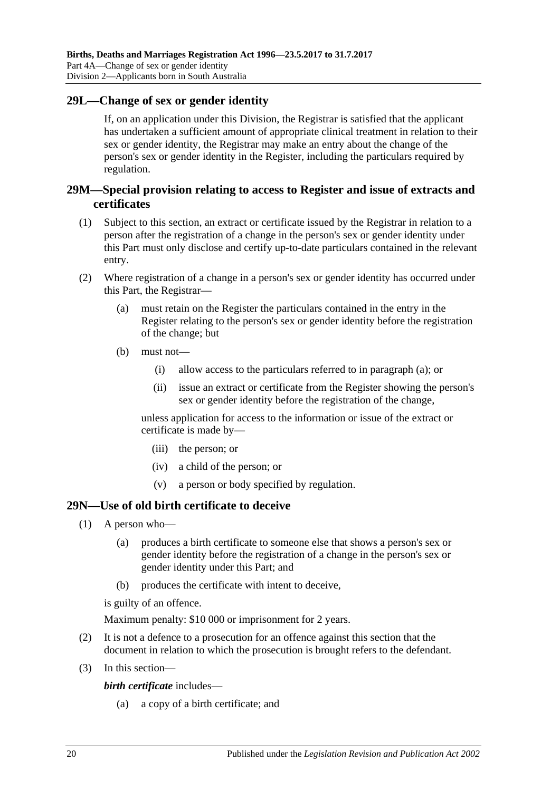## <span id="page-19-0"></span>**29L—Change of sex or gender identity**

If, on an application under this Division, the Registrar is satisfied that the applicant has undertaken a sufficient amount of appropriate clinical treatment in relation to their sex or gender identity, the Registrar may make an entry about the change of the person's sex or gender identity in the Register, including the particulars required by regulation.

## <span id="page-19-1"></span>**29M—Special provision relating to access to Register and issue of extracts and certificates**

- (1) Subject to this section, an extract or certificate issued by the Registrar in relation to a person after the registration of a change in the person's sex or gender identity under this Part must only disclose and certify up-to-date particulars contained in the relevant entry.
- <span id="page-19-3"></span>(2) Where registration of a change in a person's sex or gender identity has occurred under this Part, the Registrar—
	- (a) must retain on the Register the particulars contained in the entry in the Register relating to the person's sex or gender identity before the registration of the change; but
	- (b) must not—
		- (i) allow access to the particulars referred to in [paragraph](#page-19-3) (a); or
		- (ii) issue an extract or certificate from the Register showing the person's sex or gender identity before the registration of the change,

unless application for access to the information or issue of the extract or certificate is made by—

- (iii) the person; or
- (iv) a child of the person; or
- (v) a person or body specified by regulation.

#### <span id="page-19-2"></span>**29N—Use of old birth certificate to deceive**

- (1) A person who—
	- (a) produces a birth certificate to someone else that shows a person's sex or gender identity before the registration of a change in the person's sex or gender identity under this Part; and
	- (b) produces the certificate with intent to deceive,

is guilty of an offence.

Maximum penalty: \$10 000 or imprisonment for 2 years.

- (2) It is not a defence to a prosecution for an offence against this section that the document in relation to which the prosecution is brought refers to the defendant.
- (3) In this section—

*birth certificate* includes—

(a) a copy of a birth certificate; and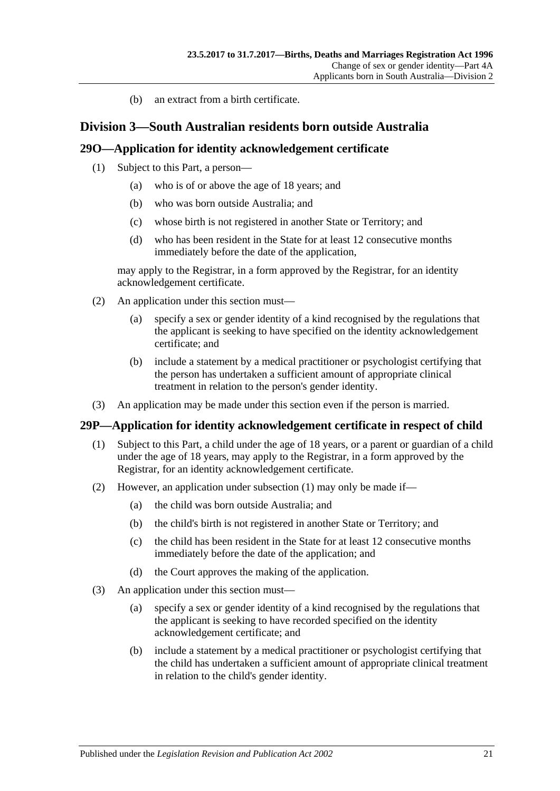(b) an extract from a birth certificate.

## <span id="page-20-0"></span>**Division 3—South Australian residents born outside Australia**

### <span id="page-20-1"></span>**29O—Application for identity acknowledgement certificate**

- (1) Subject to this Part, a person—
	- (a) who is of or above the age of 18 years; and
	- (b) who was born outside Australia; and
	- (c) whose birth is not registered in another State or Territory; and
	- (d) who has been resident in the State for at least 12 consecutive months immediately before the date of the application,

may apply to the Registrar, in a form approved by the Registrar, for an identity acknowledgement certificate.

- (2) An application under this section must—
	- (a) specify a sex or gender identity of a kind recognised by the regulations that the applicant is seeking to have specified on the identity acknowledgement certificate; and
	- (b) include a statement by a medical practitioner or psychologist certifying that the person has undertaken a sufficient amount of appropriate clinical treatment in relation to the person's gender identity.
- (3) An application may be made under this section even if the person is married.

#### <span id="page-20-3"></span><span id="page-20-2"></span>**29P—Application for identity acknowledgement certificate in respect of child**

- (1) Subject to this Part, a child under the age of 18 years, or a parent or guardian of a child under the age of 18 years, may apply to the Registrar, in a form approved by the Registrar, for an identity acknowledgement certificate.
- (2) However, an application under [subsection](#page-20-3) (1) may only be made if—
	- (a) the child was born outside Australia; and
	- (b) the child's birth is not registered in another State or Territory; and
	- (c) the child has been resident in the State for at least 12 consecutive months immediately before the date of the application; and
	- (d) the Court approves the making of the application.
- (3) An application under this section must—
	- (a) specify a sex or gender identity of a kind recognised by the regulations that the applicant is seeking to have recorded specified on the identity acknowledgement certificate; and
	- (b) include a statement by a medical practitioner or psychologist certifying that the child has undertaken a sufficient amount of appropriate clinical treatment in relation to the child's gender identity.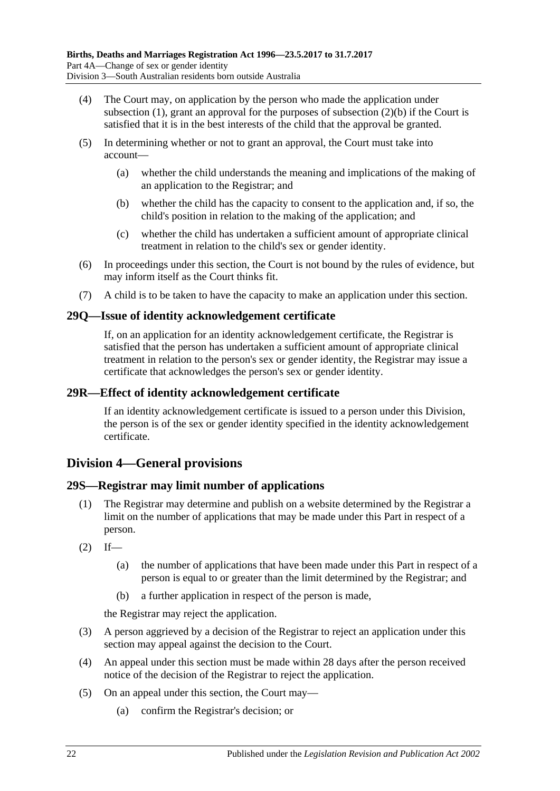- (4) The Court may, on application by the person who made the application under [subsection](#page-17-6)  $(1)$ , grant an approval for the purposes of [subsection](#page-18-1)  $(2)(b)$  if the Court is satisfied that it is in the best interests of the child that the approval be granted.
- (5) In determining whether or not to grant an approval, the Court must take into account—
	- (a) whether the child understands the meaning and implications of the making of an application to the Registrar; and
	- (b) whether the child has the capacity to consent to the application and, if so, the child's position in relation to the making of the application; and
	- (c) whether the child has undertaken a sufficient amount of appropriate clinical treatment in relation to the child's sex or gender identity.
- (6) In proceedings under this section, the Court is not bound by the rules of evidence, but may inform itself as the Court thinks fit.
- (7) A child is to be taken to have the capacity to make an application under this section.

## <span id="page-21-0"></span>**29Q—Issue of identity acknowledgement certificate**

If, on an application for an identity acknowledgement certificate, the Registrar is satisfied that the person has undertaken a sufficient amount of appropriate clinical treatment in relation to the person's sex or gender identity, the Registrar may issue a certificate that acknowledges the person's sex or gender identity.

### <span id="page-21-1"></span>**29R—Effect of identity acknowledgement certificate**

If an identity acknowledgement certificate is issued to a person under this Division, the person is of the sex or gender identity specified in the identity acknowledgement certificate.

# <span id="page-21-2"></span>**Division 4—General provisions**

## <span id="page-21-3"></span>**29S—Registrar may limit number of applications**

- (1) The Registrar may determine and publish on a website determined by the Registrar a limit on the number of applications that may be made under this Part in respect of a person.
- $(2)$  If—
	- (a) the number of applications that have been made under this Part in respect of a person is equal to or greater than the limit determined by the Registrar; and
	- (b) a further application in respect of the person is made,

the Registrar may reject the application.

- (3) A person aggrieved by a decision of the Registrar to reject an application under this section may appeal against the decision to the Court.
- (4) An appeal under this section must be made within 28 days after the person received notice of the decision of the Registrar to reject the application.
- (5) On an appeal under this section, the Court may—
	- (a) confirm the Registrar's decision; or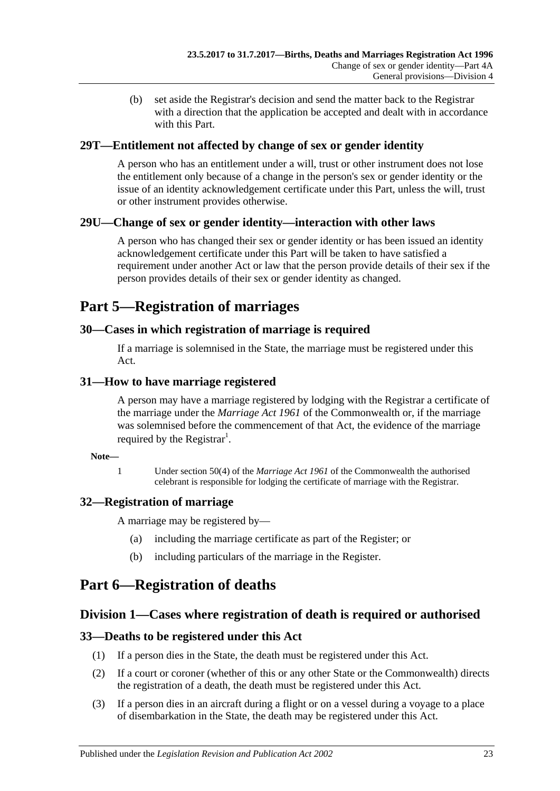(b) set aside the Registrar's decision and send the matter back to the Registrar with a direction that the application be accepted and dealt with in accordance with this Part.

# <span id="page-22-0"></span>**29T—Entitlement not affected by change of sex or gender identity**

A person who has an entitlement under a will, trust or other instrument does not lose the entitlement only because of a change in the person's sex or gender identity or the issue of an identity acknowledgement certificate under this Part, unless the will, trust or other instrument provides otherwise.

## <span id="page-22-1"></span>**29U—Change of sex or gender identity—interaction with other laws**

A person who has changed their sex or gender identity or has been issued an identity acknowledgement certificate under this Part will be taken to have satisfied a requirement under another Act or law that the person provide details of their sex if the person provides details of their sex or gender identity as changed.

# <span id="page-22-2"></span>**Part 5—Registration of marriages**

## <span id="page-22-3"></span>**30—Cases in which registration of marriage is required**

If a marriage is solemnised in the State, the marriage must be registered under this Act.

## <span id="page-22-4"></span>**31—How to have marriage registered**

A person may have a marriage registered by lodging with the Registrar a certificate of the marriage under the *Marriage Act 1961* of the Commonwealth or, if the marriage was solemnised before the commencement of that Act, the evidence of the marriage required by the Registrar<sup>1</sup>.

#### **Note—**

1 Under section 50(4) of the *Marriage Act 1961* of the Commonwealth the authorised celebrant is responsible for lodging the certificate of marriage with the Registrar.

# <span id="page-22-5"></span>**32—Registration of marriage**

A marriage may be registered by—

- (a) including the marriage certificate as part of the Register; or
- (b) including particulars of the marriage in the Register.

# <span id="page-22-6"></span>**Part 6—Registration of deaths**

# <span id="page-22-7"></span>**Division 1—Cases where registration of death is required or authorised**

## <span id="page-22-8"></span>**33—Deaths to be registered under this Act**

- (1) If a person dies in the State, the death must be registered under this Act.
- (2) If a court or coroner (whether of this or any other State or the Commonwealth) directs the registration of a death, the death must be registered under this Act.
- <span id="page-22-9"></span>(3) If a person dies in an aircraft during a flight or on a vessel during a voyage to a place of disembarkation in the State, the death may be registered under this Act.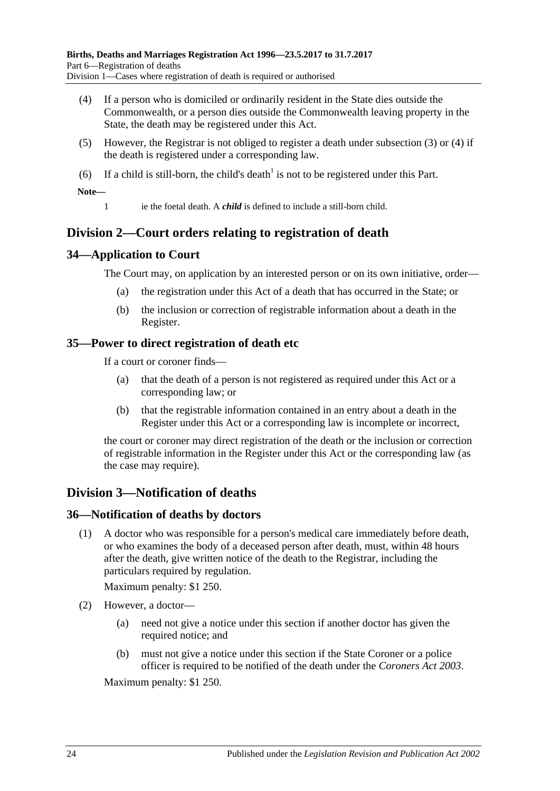- <span id="page-23-5"></span>(4) If a person who is domiciled or ordinarily resident in the State dies outside the Commonwealth, or a person dies outside the Commonwealth leaving property in the State, the death may be registered under this Act.
- (5) However, the Registrar is not obliged to register a death under [subsection](#page-22-9) (3) or [\(4\)](#page-23-5) if the death is registered under a corresponding law.
- (6) If a child is still-born, the child's death<sup>1</sup> is not to be registered under this Part.

**Note—**

1 ie the foetal death. A *child* is defined to include a still-born child.

# <span id="page-23-0"></span>**Division 2—Court orders relating to registration of death**

## <span id="page-23-1"></span>**34—Application to Court**

The Court may, on application by an interested person or on its own initiative, order—

- (a) the registration under this Act of a death that has occurred in the State; or
- (b) the inclusion or correction of registrable information about a death in the Register.

## <span id="page-23-2"></span>**35—Power to direct registration of death etc**

If a court or coroner finds—

- (a) that the death of a person is not registered as required under this Act or a corresponding law; or
- (b) that the registrable information contained in an entry about a death in the Register under this Act or a corresponding law is incomplete or incorrect,

the court or coroner may direct registration of the death or the inclusion or correction of registrable information in the Register under this Act or the corresponding law (as the case may require).

# <span id="page-23-3"></span>**Division 3—Notification of deaths**

#### <span id="page-23-4"></span>**36—Notification of deaths by doctors**

(1) A doctor who was responsible for a person's medical care immediately before death, or who examines the body of a deceased person after death, must, within 48 hours after the death, give written notice of the death to the Registrar, including the particulars required by regulation.

Maximum penalty: \$1 250.

- (2) However, a doctor—
	- (a) need not give a notice under this section if another doctor has given the required notice; and
	- (b) must not give a notice under this section if the State Coroner or a police officer is required to be notified of the death under the *[Coroners Act](http://www.legislation.sa.gov.au/index.aspx?action=legref&type=act&legtitle=Coroners%20Act%202003) 2003*.

Maximum penalty: \$1 250.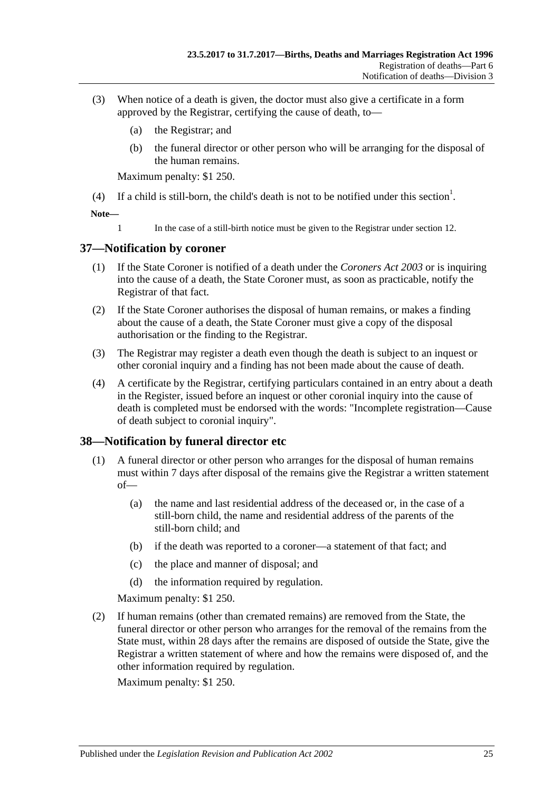- (3) When notice of a death is given, the doctor must also give a certificate in a form approved by the Registrar, certifying the cause of death, to—
	- (a) the Registrar; and
	- (b) the funeral director or other person who will be arranging for the disposal of the human remains.

Maximum penalty: \$1 250.

(4) If a child is still-born, the child's death is not to be notified under this section<sup>1</sup>.

**Note—**

1 In the case of a still-birth notice must be given to the Registrar under [section](#page-7-2) 12.

## <span id="page-24-0"></span>**37—Notification by coroner**

- (1) If the State Coroner is notified of a death under the *[Coroners Act](http://www.legislation.sa.gov.au/index.aspx?action=legref&type=act&legtitle=Coroners%20Act%202003) 2003* or is inquiring into the cause of a death, the State Coroner must, as soon as practicable, notify the Registrar of that fact.
- (2) If the State Coroner authorises the disposal of human remains, or makes a finding about the cause of a death, the State Coroner must give a copy of the disposal authorisation or the finding to the Registrar.
- (3) The Registrar may register a death even though the death is subject to an inquest or other coronial inquiry and a finding has not been made about the cause of death.
- (4) A certificate by the Registrar, certifying particulars contained in an entry about a death in the Register, issued before an inquest or other coronial inquiry into the cause of death is completed must be endorsed with the words: "Incomplete registration—Cause of death subject to coronial inquiry".

## <span id="page-24-1"></span>**38—Notification by funeral director etc**

- (1) A funeral director or other person who arranges for the disposal of human remains must within 7 days after disposal of the remains give the Registrar a written statement of—
	- (a) the name and last residential address of the deceased or, in the case of a still-born child, the name and residential address of the parents of the still-born child; and
	- (b) if the death was reported to a coroner—a statement of that fact; and
	- (c) the place and manner of disposal; and
	- (d) the information required by regulation.

Maximum penalty: \$1 250.

(2) If human remains (other than cremated remains) are removed from the State, the funeral director or other person who arranges for the removal of the remains from the State must, within 28 days after the remains are disposed of outside the State, give the Registrar a written statement of where and how the remains were disposed of, and the other information required by regulation.

Maximum penalty: \$1 250.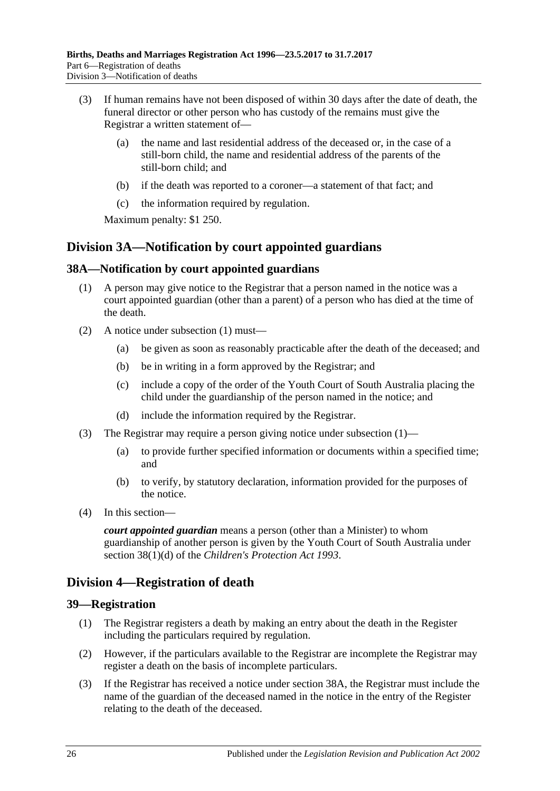- (3) If human remains have not been disposed of within 30 days after the date of death, the funeral director or other person who has custody of the remains must give the Registrar a written statement of—
	- (a) the name and last residential address of the deceased or, in the case of a still-born child, the name and residential address of the parents of the still-born child; and
	- (b) if the death was reported to a coroner—a statement of that fact; and
	- (c) the information required by regulation.

Maximum penalty: \$1 250.

# <span id="page-25-0"></span>**Division 3A—Notification by court appointed guardians**

## <span id="page-25-4"></span><span id="page-25-1"></span>**38A—Notification by court appointed guardians**

- (1) A person may give notice to the Registrar that a person named in the notice was a court appointed guardian (other than a parent) of a person who has died at the time of the death.
- (2) A notice under [subsection](#page-25-4) (1) must—
	- (a) be given as soon as reasonably practicable after the death of the deceased; and
	- (b) be in writing in a form approved by the Registrar; and
	- (c) include a copy of the order of the Youth Court of South Australia placing the child under the guardianship of the person named in the notice; and
	- (d) include the information required by the Registrar.
- (3) The Registrar may require a person giving notice under [subsection](#page-25-4) (1)—
	- (a) to provide further specified information or documents within a specified time; and
	- (b) to verify, by statutory declaration, information provided for the purposes of the notice.
- (4) In this section—

*court appointed guardian* means a person (other than a Minister) to whom guardianship of another person is given by the Youth Court of South Australia under section 38(1)(d) of the *[Children's Protection Act](http://www.legislation.sa.gov.au/index.aspx?action=legref&type=act&legtitle=Childrens%20Protection%20Act%201993) 1993*.

# <span id="page-25-2"></span>**Division 4—Registration of death**

#### <span id="page-25-3"></span>**39—Registration**

- (1) The Registrar registers a death by making an entry about the death in the Register including the particulars required by regulation.
- (2) However, if the particulars available to the Registrar are incomplete the Registrar may register a death on the basis of incomplete particulars.
- (3) If the Registrar has received a notice under [section](#page-25-1) 38A, the Registrar must include the name of the guardian of the deceased named in the notice in the entry of the Register relating to the death of the deceased.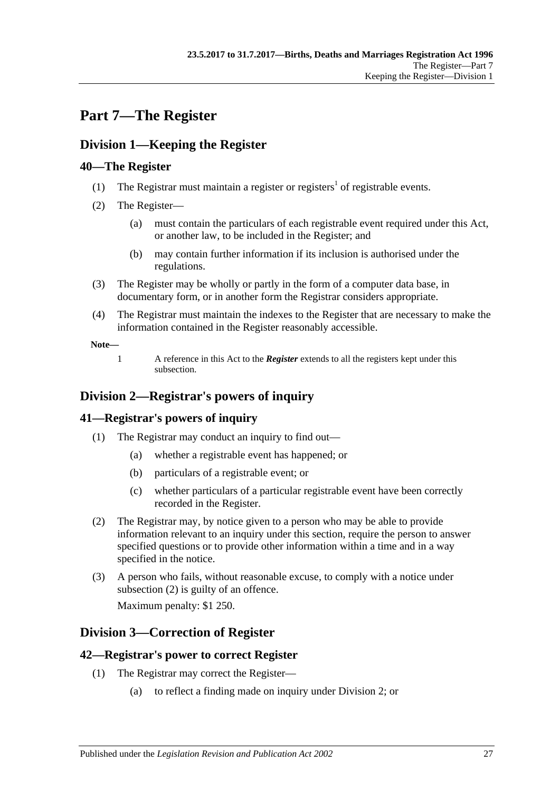# <span id="page-26-0"></span>**Part 7—The Register**

# <span id="page-26-1"></span>**Division 1—Keeping the Register**

# <span id="page-26-2"></span>**40—The Register**

- (1) The Registrar must maintain a register or registers<sup>1</sup> of registrable events.
- <span id="page-26-7"></span>(2) The Register—
	- (a) must contain the particulars of each registrable event required under this Act, or another law, to be included in the Register; and
	- (b) may contain further information if its inclusion is authorised under the regulations.
- (3) The Register may be wholly or partly in the form of a computer data base, in documentary form, or in another form the Registrar considers appropriate.
- (4) The Registrar must maintain the indexes to the Register that are necessary to make the information contained in the Register reasonably accessible.

**Note—**

1 A reference in this Act to the *Register* extends to all the registers kept under this subsection.

# <span id="page-26-3"></span>**Division 2—Registrar's powers of inquiry**

# <span id="page-26-4"></span>**41—Registrar's powers of inquiry**

- (1) The Registrar may conduct an inquiry to find out—
	- (a) whether a registrable event has happened; or
	- (b) particulars of a registrable event; or
	- (c) whether particulars of a particular registrable event have been correctly recorded in the Register.
- <span id="page-26-8"></span>(2) The Registrar may, by notice given to a person who may be able to provide information relevant to an inquiry under this section, require the person to answer specified questions or to provide other information within a time and in a way specified in the notice.
- (3) A person who fails, without reasonable excuse, to comply with a notice under [subsection](#page-26-8) (2) is guilty of an offence.

Maximum penalty: \$1 250.

# <span id="page-26-5"></span>**Division 3—Correction of Register**

# <span id="page-26-6"></span>**42—Registrar's power to correct Register**

- (1) The Registrar may correct the Register—
	- (a) to reflect a finding made on inquiry under [Division 2;](#page-26-3) or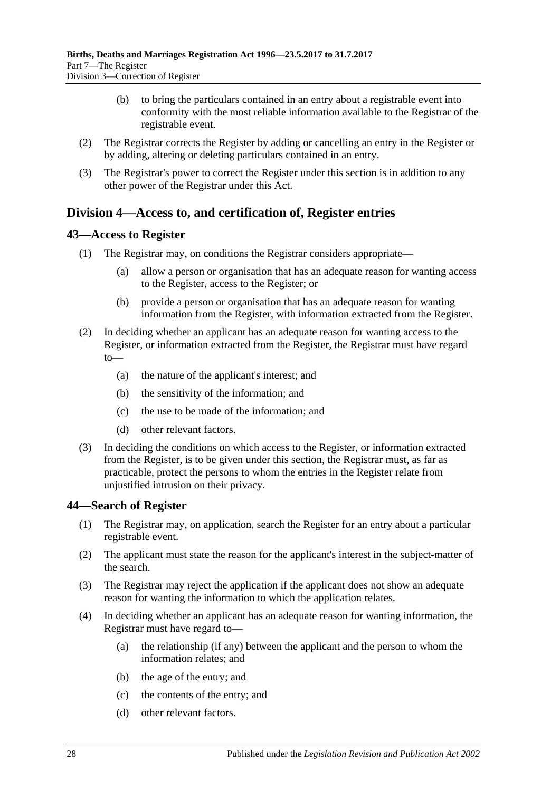- (b) to bring the particulars contained in an entry about a registrable event into conformity with the most reliable information available to the Registrar of the registrable event.
- (2) The Registrar corrects the Register by adding or cancelling an entry in the Register or by adding, altering or deleting particulars contained in an entry.
- (3) The Registrar's power to correct the Register under this section is in addition to any other power of the Registrar under this Act.

# <span id="page-27-0"></span>**Division 4—Access to, and certification of, Register entries**

### <span id="page-27-1"></span>**43—Access to Register**

- (1) The Registrar may, on conditions the Registrar considers appropriate—
	- (a) allow a person or organisation that has an adequate reason for wanting access to the Register, access to the Register; or
	- (b) provide a person or organisation that has an adequate reason for wanting information from the Register, with information extracted from the Register.
- (2) In deciding whether an applicant has an adequate reason for wanting access to the Register, or information extracted from the Register, the Registrar must have regard to—
	- (a) the nature of the applicant's interest; and
	- (b) the sensitivity of the information; and
	- (c) the use to be made of the information; and
	- (d) other relevant factors.
- (3) In deciding the conditions on which access to the Register, or information extracted from the Register, is to be given under this section, the Registrar must, as far as practicable, protect the persons to whom the entries in the Register relate from unjustified intrusion on their privacy.

#### <span id="page-27-2"></span>**44—Search of Register**

- (1) The Registrar may, on application, search the Register for an entry about a particular registrable event.
- (2) The applicant must state the reason for the applicant's interest in the subject-matter of the search.
- (3) The Registrar may reject the application if the applicant does not show an adequate reason for wanting the information to which the application relates.
- (4) In deciding whether an applicant has an adequate reason for wanting information, the Registrar must have regard to—
	- (a) the relationship (if any) between the applicant and the person to whom the information relates; and
	- (b) the age of the entry; and
	- (c) the contents of the entry; and
	- (d) other relevant factors.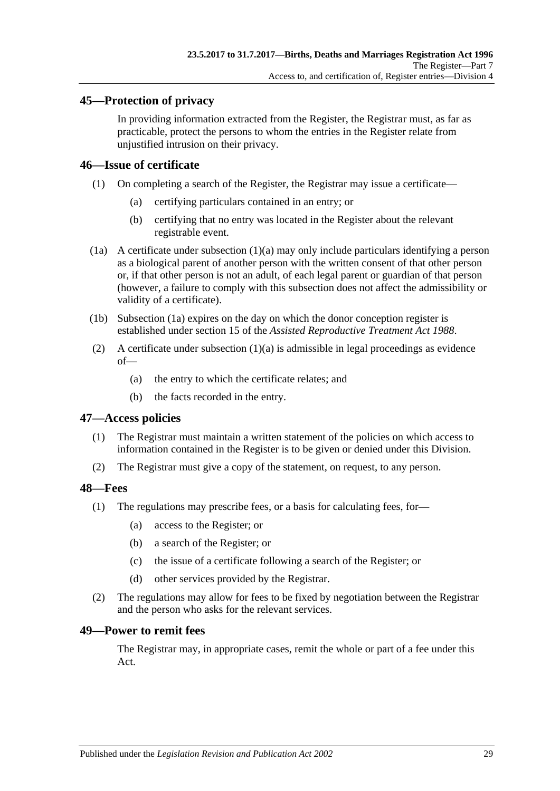## <span id="page-28-0"></span>**45—Protection of privacy**

In providing information extracted from the Register, the Registrar must, as far as practicable, protect the persons to whom the entries in the Register relate from unjustified intrusion on their privacy.

## <span id="page-28-1"></span>**46—Issue of certificate**

- <span id="page-28-5"></span>(1) On completing a search of the Register, the Registrar may issue a certificate—
	- (a) certifying particulars contained in an entry; or
	- (b) certifying that no entry was located in the Register about the relevant registrable event.
- <span id="page-28-6"></span>(1a) A certificate under [subsection](#page-28-5) (1)(a) may only include particulars identifying a person as a biological parent of another person with the written consent of that other person or, if that other person is not an adult, of each legal parent or guardian of that person (however, a failure to comply with this subsection does not affect the admissibility or validity of a certificate).
- (1b) [Subsection](#page-28-6) (1a) expires on the day on which the donor conception register is established under section 15 of the *[Assisted Reproductive Treatment Act](http://www.legislation.sa.gov.au/index.aspx?action=legref&type=act&legtitle=Assisted%20Reproductive%20Treatment%20Act%201988) 1988*.
- (2) A certificate under [subsection](#page-28-5)  $(1)(a)$  is admissible in legal proceedings as evidence of—
	- (a) the entry to which the certificate relates; and
	- (b) the facts recorded in the entry.

#### <span id="page-28-2"></span>**47—Access policies**

- (1) The Registrar must maintain a written statement of the policies on which access to information contained in the Register is to be given or denied under this Division.
- (2) The Registrar must give a copy of the statement, on request, to any person.

#### <span id="page-28-3"></span>**48—Fees**

- (1) The regulations may prescribe fees, or a basis for calculating fees, for—
	- (a) access to the Register; or
	- (b) a search of the Register; or
	- (c) the issue of a certificate following a search of the Register; or
	- (d) other services provided by the Registrar.
- (2) The regulations may allow for fees to be fixed by negotiation between the Registrar and the person who asks for the relevant services.

#### <span id="page-28-4"></span>**49—Power to remit fees**

The Registrar may, in appropriate cases, remit the whole or part of a fee under this Act.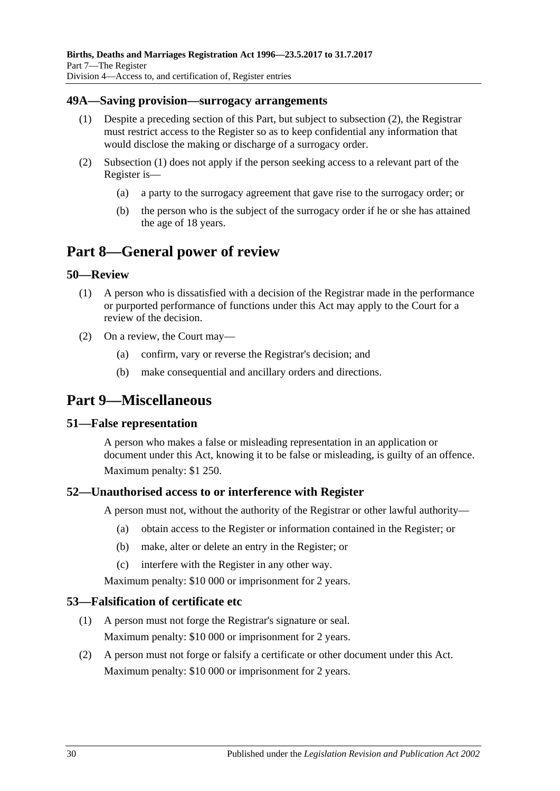### <span id="page-29-8"></span><span id="page-29-0"></span>**49A—Saving provision—surrogacy arrangements**

- (1) Despite a preceding section of this Part, but subject to [subsection](#page-29-7) (2), the Registrar must restrict access to the Register so as to keep confidential any information that would disclose the making or discharge of a surrogacy order.
- <span id="page-29-7"></span>(2) [Subsection](#page-29-8) (1) does not apply if the person seeking access to a relevant part of the Register is—
	- (a) a party to the surrogacy agreement that gave rise to the surrogacy order; or
	- (b) the person who is the subject of the surrogacy order if he or she has attained the age of 18 years.

# <span id="page-29-1"></span>**Part 8—General power of review**

### <span id="page-29-2"></span>**50—Review**

- (1) A person who is dissatisfied with a decision of the Registrar made in the performance or purported performance of functions under this Act may apply to the Court for a review of the decision.
- (2) On a review, the Court may—
	- (a) confirm, vary or reverse the Registrar's decision; and
	- (b) make consequential and ancillary orders and directions.

# <span id="page-29-3"></span>**Part 9—Miscellaneous**

#### <span id="page-29-4"></span>**51—False representation**

A person who makes a false or misleading representation in an application or document under this Act, knowing it to be false or misleading, is guilty of an offence. Maximum penalty: \$1 250.

## <span id="page-29-5"></span>**52—Unauthorised access to or interference with Register**

A person must not, without the authority of the Registrar or other lawful authority—

- (a) obtain access to the Register or information contained in the Register; or
- (b) make, alter or delete an entry in the Register; or
- (c) interfere with the Register in any other way.

Maximum penalty: \$10 000 or imprisonment for 2 years.

#### <span id="page-29-6"></span>**53—Falsification of certificate etc**

- (1) A person must not forge the Registrar's signature or seal. Maximum penalty: \$10 000 or imprisonment for 2 years.
- (2) A person must not forge or falsify a certificate or other document under this Act. Maximum penalty: \$10 000 or imprisonment for 2 years.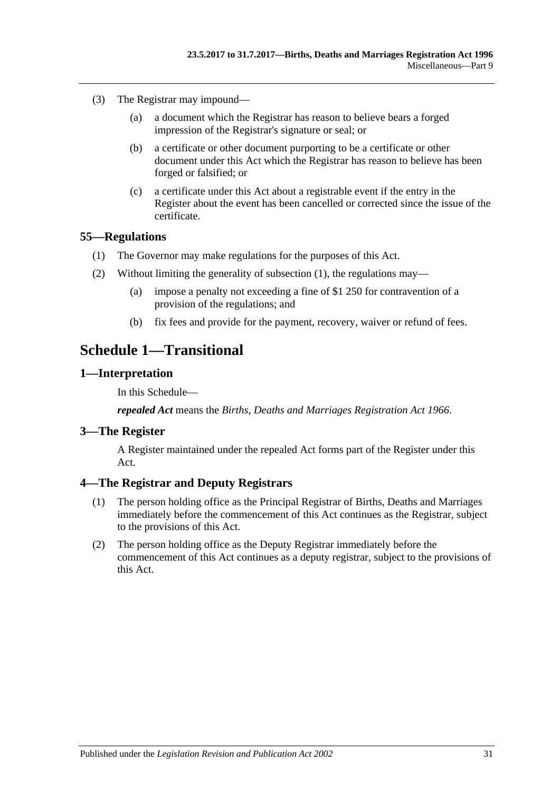- (3) The Registrar may impound—
	- (a) a document which the Registrar has reason to believe bears a forged impression of the Registrar's signature or seal; or
	- (b) a certificate or other document purporting to be a certificate or other document under this Act which the Registrar has reason to believe has been forged or falsified; or
	- (c) a certificate under this Act about a registrable event if the entry in the Register about the event has been cancelled or corrected since the issue of the certificate.

### <span id="page-30-5"></span><span id="page-30-0"></span>**55—Regulations**

- (1) The Governor may make regulations for the purposes of this Act.
- (2) Without limiting the generality of [subsection](#page-30-5) (1), the regulations may—
	- (a) impose a penalty not exceeding a fine of \$1 250 for contravention of a provision of the regulations; and
	- (b) fix fees and provide for the payment, recovery, waiver or refund of fees.

# <span id="page-30-1"></span>**Schedule 1—Transitional**

### <span id="page-30-2"></span>**1—Interpretation**

In this Schedule—

*repealed Act* means the *[Births, Deaths and Marriages Registration Act](http://www.legislation.sa.gov.au/index.aspx?action=legref&type=act&legtitle=Births%20Deaths%20and%20Marriages%20Registration%20Act%201966) 1966*.

#### <span id="page-30-3"></span>**3—The Register**

A Register maintained under the repealed Act forms part of the Register under this Act.

## <span id="page-30-4"></span>**4—The Registrar and Deputy Registrars**

- (1) The person holding office as the Principal Registrar of Births, Deaths and Marriages immediately before the commencement of this Act continues as the Registrar, subject to the provisions of this Act.
- (2) The person holding office as the Deputy Registrar immediately before the commencement of this Act continues as a deputy registrar, subject to the provisions of this Act.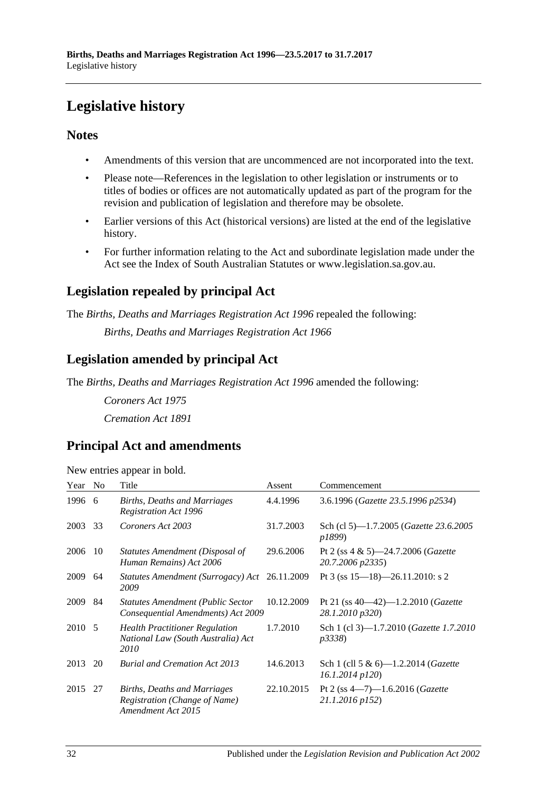# <span id="page-31-0"></span>**Legislative history**

# **Notes**

- Amendments of this version that are uncommenced are not incorporated into the text.
- Please note—References in the legislation to other legislation or instruments or to titles of bodies or offices are not automatically updated as part of the program for the revision and publication of legislation and therefore may be obsolete.
- Earlier versions of this Act (historical versions) are listed at the end of the legislative history.
- For further information relating to the Act and subordinate legislation made under the Act see the Index of South Australian Statutes or www.legislation.sa.gov.au.

# **Legislation repealed by principal Act**

The *Births, Deaths and Marriages Registration Act 1996* repealed the following:

*Births, Deaths and Marriages Registration Act 1966*

# **Legislation amended by principal Act**

The *Births, Deaths and Marriages Registration Act 1996* amended the following:

*Coroners Act 1975 Cremation Act 1891*

# **Principal Act and amendments**

| New entries appear in bold. |  |  |  |  |  |
|-----------------------------|--|--|--|--|--|
|-----------------------------|--|--|--|--|--|

| Year    | N <sub>0</sub> | Title                                                                               | Assent     | Commencement                                                       |
|---------|----------------|-------------------------------------------------------------------------------------|------------|--------------------------------------------------------------------|
| 1996    | -6             | Births, Deaths and Marriages<br><b>Registration Act 1996</b>                        | 4.4.1996   | 3.6.1996 (Gazette 23.5.1996 p2534)                                 |
| 2003    | 33             | Coroners Act 2003                                                                   | 31.7.2003  | Sch (cl 5)—1.7.2005 ( <i>Gazette 23.6.2005</i><br>p1899)           |
| 2006    | 10             | Statutes Amendment (Disposal of<br>Human Remains) Act 2006                          | 29.6.2006  | Pt 2 (ss $4 \& 5$ )-24.7.2006 ( <i>Gazette</i><br>20.7.2006 p2335) |
| 2009    | 64             | Statutes Amendment (Surrogacy) Act<br>2009                                          | 26.11.2009 | Pt 3 (ss $15-18$ )-26.11.2010: s 2                                 |
| 2009    | 84             | <b>Statutes Amendment (Public Sector</b><br>Consequential Amendments) Act 2009      | 10.12.2009 | Pt 21 (ss $40-42$ )-1.2.2010 ( <i>Gazette</i><br>28.1.2010 p320)   |
| 2010 5  |                | <b>Health Practitioner Regulation</b><br>National Law (South Australia) Act<br>2010 | 1.7.2010   | Sch 1 (cl 3)-1.7.2010 ( <i>Gazette 1.7.2010</i><br><i>p</i> 3338)  |
| 2013    | 20             | <b>Burial and Cremation Act 2013</b>                                                | 14.6.2013  | Sch 1 (cll 5 & 6)—1.2.2014 ( <i>Gazette</i><br>$16.1.2014$ $p120$  |
| 2015 27 |                | Births, Deaths and Marriages<br>Registration (Change of Name)<br>Amendment Act 2015 | 22.10.2015 | Pt 2 (ss $4-7$ )-1.6.2016 ( <i>Gazette</i><br>21.1.2016 p152)      |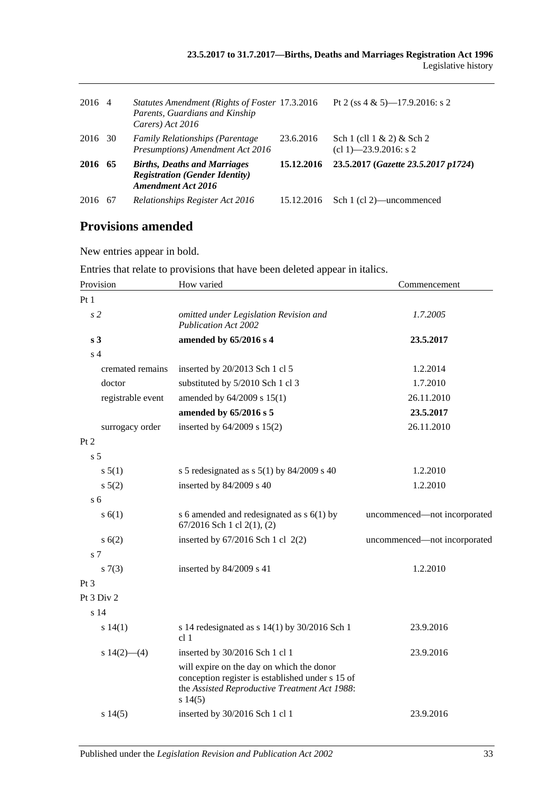| 2016 4  |     | Statutes Amendment (Rights of Foster 17.3.2016<br>Parents, Guardians and Kinship<br>Carers) Act 2016      |            | Pt 2 (ss $4 \& 5$ )—17.9.2016: s 2                              |
|---------|-----|-----------------------------------------------------------------------------------------------------------|------------|-----------------------------------------------------------------|
| 2016 30 |     | <b>Family Relationships (Parentage)</b><br>Presumptions) Amendment Act 2016                               | 23.6.2016  | Sch $1$ (cll $1 \& 2$ ) $\&$ Sch $2$<br>$cl 1)$ —23.9.2016: s 2 |
| 2016    | 65  | <b>Births, Deaths and Marriages</b><br><b>Registration (Gender Identity)</b><br><b>Amendment Act 2016</b> | 15.12.2016 | 23.5.2017 (Gazette 23.5.2017 p1724)                             |
| 2016    | -67 | Relationships Register Act 2016                                                                           | 15.12.2016 | Sch 1 (cl 2)—uncommenced                                        |

# **Provisions amended**

New entries appear in bold.

Entries that relate to provisions that have been deleted appear in italics.

| Provision         | How varied                                                                                                                                               | Commencement                 |
|-------------------|----------------------------------------------------------------------------------------------------------------------------------------------------------|------------------------------|
| Pt1               |                                                                                                                                                          |                              |
| s <sub>2</sub>    | omitted under Legislation Revision and<br><b>Publication Act 2002</b>                                                                                    | 1.7.2005                     |
| s <sub>3</sub>    | amended by 65/2016 s 4                                                                                                                                   | 23.5.2017                    |
| s <sub>4</sub>    |                                                                                                                                                          |                              |
| cremated remains  | inserted by 20/2013 Sch 1 cl 5                                                                                                                           | 1.2.2014                     |
| doctor            | substituted by 5/2010 Sch 1 cl 3                                                                                                                         | 1.7.2010                     |
| registrable event | amended by 64/2009 s 15(1)                                                                                                                               | 26.11.2010                   |
|                   | amended by 65/2016 s 5                                                                                                                                   | 23.5.2017                    |
| surrogacy order   | inserted by $64/2009$ s $15(2)$                                                                                                                          | 26.11.2010                   |
| Pt <sub>2</sub>   |                                                                                                                                                          |                              |
| s <sub>5</sub>    |                                                                                                                                                          |                              |
| s 5(1)            | s 5 redesignated as s $5(1)$ by 84/2009 s 40                                                                                                             | 1.2.2010                     |
| s 5(2)            | inserted by 84/2009 s 40                                                                                                                                 | 1.2.2010                     |
| s <sub>6</sub>    |                                                                                                                                                          |                              |
| s(6(1))           | s 6 amended and redesignated as $s$ 6(1) by<br>67/2016 Sch 1 cl 2(1), (2)                                                                                | uncommenced-not incorporated |
| s(6(2))           | inserted by $67/2016$ Sch 1 cl $2(2)$                                                                                                                    | uncommenced-not incorporated |
| s 7               |                                                                                                                                                          |                              |
| s(7(3))           | inserted by 84/2009 s 41                                                                                                                                 | 1.2.2010                     |
| Pt <sub>3</sub>   |                                                                                                                                                          |                              |
| Pt 3 Div 2        |                                                                                                                                                          |                              |
| s <sub>14</sub>   |                                                                                                                                                          |                              |
| s 14(1)           | s 14 redesignated as $s$ 14(1) by 30/2016 Sch 1<br>cl <sub>1</sub>                                                                                       | 23.9.2016                    |
| s $14(2)$ — $(4)$ | inserted by 30/2016 Sch 1 cl 1                                                                                                                           | 23.9.2016                    |
|                   | will expire on the day on which the donor<br>conception register is established under s 15 of<br>the Assisted Reproductive Treatment Act 1988:<br>s14(5) |                              |
| s 14(5)           | inserted by 30/2016 Sch 1 cl 1                                                                                                                           | 23.9.2016                    |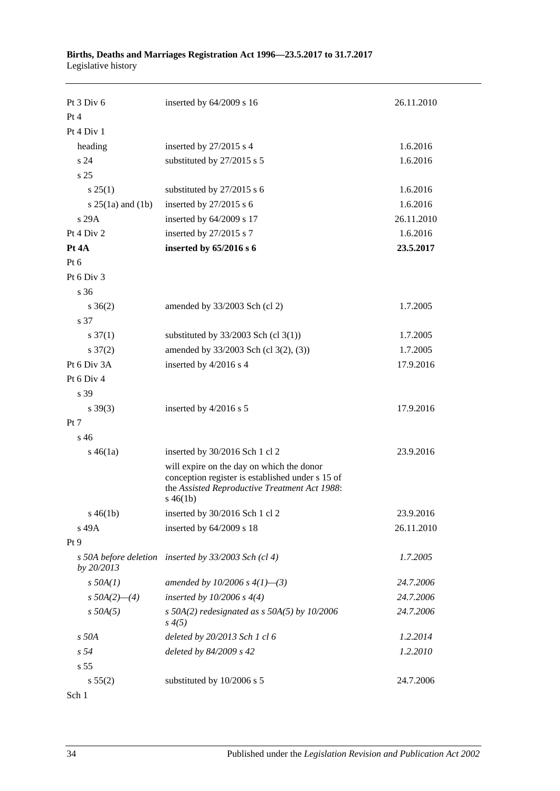#### **Births, Deaths and Marriages Registration Act 1996—23.5.2017 to 31.7.2017** Legislative history

| Pt $3$ Div $6$        | inserted by 64/2009 s 16                                                                                                                                      | 26.11.2010 |
|-----------------------|---------------------------------------------------------------------------------------------------------------------------------------------------------------|------------|
| Pt 4                  |                                                                                                                                                               |            |
| Pt 4 Div 1            |                                                                                                                                                               |            |
| heading               | inserted by 27/2015 s 4                                                                                                                                       | 1.6.2016   |
| s 24                  | substituted by 27/2015 s 5                                                                                                                                    | 1.6.2016   |
| s <sub>25</sub>       |                                                                                                                                                               |            |
| s 25(1)               | substituted by 27/2015 s 6                                                                                                                                    | 1.6.2016   |
| s $25(1a)$ and $(1b)$ | inserted by $27/2015$ s 6                                                                                                                                     | 1.6.2016   |
| s 29A                 | inserted by 64/2009 s 17                                                                                                                                      | 26.11.2010 |
| Pt 4 Div 2            | inserted by 27/2015 s 7                                                                                                                                       | 1.6.2016   |
| Pt 4A                 | inserted by 65/2016 s 6                                                                                                                                       | 23.5.2017  |
| Pt 6                  |                                                                                                                                                               |            |
| Pt 6 Div 3            |                                                                                                                                                               |            |
| s 36                  |                                                                                                                                                               |            |
| $s \; 36(2)$          | amended by 33/2003 Sch (cl 2)                                                                                                                                 | 1.7.2005   |
| s 37                  |                                                                                                                                                               |            |
| $s \frac{37(1)}{2}$   | substituted by $33/2003$ Sch (cl 3(1))                                                                                                                        | 1.7.2005   |
| $s \frac{37(2)}{2}$   | amended by 33/2003 Sch (cl 3(2), (3))                                                                                                                         | 1.7.2005   |
| Pt 6 Div 3A           | inserted by 4/2016 s 4                                                                                                                                        | 17.9.2016  |
| Pt 6 Div 4            |                                                                                                                                                               |            |
| s 39                  |                                                                                                                                                               |            |
| $s \, 39(3)$          | inserted by 4/2016 s 5                                                                                                                                        | 17.9.2016  |
| Pt 7                  |                                                                                                                                                               |            |
| s <sub>46</sub>       |                                                                                                                                                               |            |
| $s\,46(1a)$           | inserted by 30/2016 Sch 1 cl 2                                                                                                                                | 23.9.2016  |
|                       | will expire on the day on which the donor<br>conception register is established under s 15 of<br>the Assisted Reproductive Treatment Act 1988:<br>$s\,46(1b)$ |            |
| $s\,46(1b)$           | inserted by 30/2016 Sch 1 cl 2                                                                                                                                | 23.9.2016  |
| s 49A                 | inserted by 64/2009 s 18                                                                                                                                      | 26.11.2010 |
| Pt 9                  |                                                                                                                                                               |            |
| by 20/2013            | s 50A before deletion inserted by 33/2003 Sch (cl 4)                                                                                                          | 1.7.2005   |
| $s$ 50A $(1)$         | amended by 10/2006 s $4(1)$ —(3)                                                                                                                              | 24.7.2006  |
| $s$ 50A(2)–(4)        | inserted by $10/2006 s 4(4)$                                                                                                                                  | 24.7.2006  |
| $s$ 50A(5)            | s 50A(2) redesignated as s 50A(5) by $10/2006$<br>s(4(5)                                                                                                      | 24.7.2006  |
| s 50A                 | deleted by 20/2013 Sch 1 cl 6                                                                                                                                 | 1.2.2014   |
| s <sub>54</sub>       | deleted by 84/2009 s 42                                                                                                                                       | 1.2.2010   |
| s <sub>55</sub>       |                                                                                                                                                               |            |
| s 55(2)               | substituted by 10/2006 s 5                                                                                                                                    | 24.7.2006  |
| Sch 1                 |                                                                                                                                                               |            |